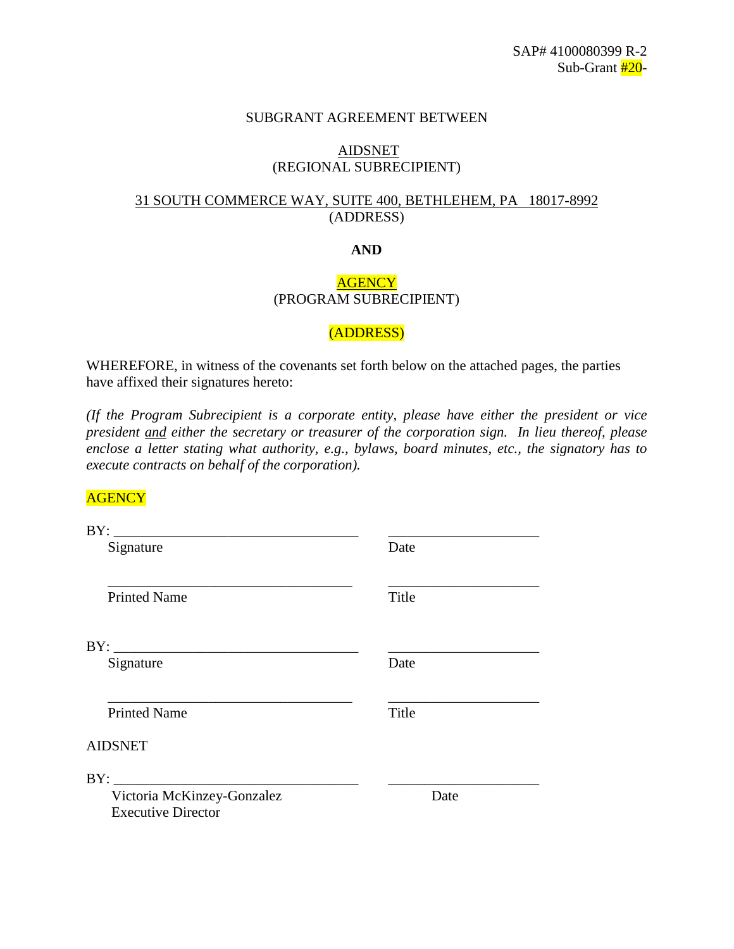#### SUBGRANT AGREEMENT BETWEEN

#### AIDSNET (REGIONAL SUBRECIPIENT)

## 31 SOUTH COMMERCE WAY, SUITE 400, BETHLEHEM, PA 18017-8992 (ADDRESS)

#### **AND**

## **AGENCY** (PROGRAM SUBRECIPIENT)

#### (ADDRESS)

WHEREFORE, in witness of the covenants set forth below on the attached pages, the parties have affixed their signatures hereto:

*(If the Program Subrecipient is a corporate entity, please have either the president or vice president and either the secretary or treasurer of the corporation sign. In lieu thereof, please enclose a letter stating what authority, e.g., bylaws, board minutes, etc., the signatory has to execute contracts on behalf of the corporation).*

## **AGENCY**

| Signature                  | Date  |
|----------------------------|-------|
| <b>Printed Name</b>        | Title |
|                            |       |
| Signature                  | Date  |
| <b>Printed Name</b>        | Title |
| <b>AIDSNET</b>             |       |
|                            |       |
| Victoria McKinzey-Gonzalez | Date  |
| <b>Executive Director</b>  |       |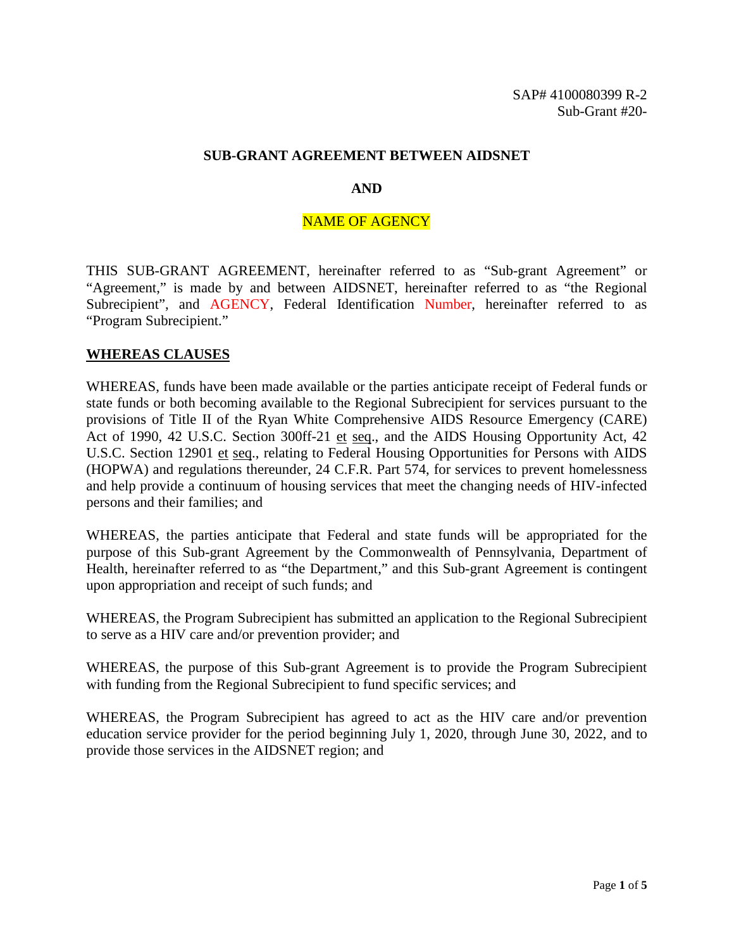#### **SUB-GRANT AGREEMENT BETWEEN AIDSNET**

#### **AND**

#### NAME OF AGENCY

THIS SUB-GRANT AGREEMENT, hereinafter referred to as "Sub-grant Agreement" or "Agreement," is made by and between AIDSNET, hereinafter referred to as "the Regional Subrecipient", and AGENCY, Federal Identification Number, hereinafter referred to as "Program Subrecipient."

#### **WHEREAS CLAUSES**

WHEREAS, funds have been made available or the parties anticipate receipt of Federal funds or state funds or both becoming available to the Regional Subrecipient for services pursuant to the provisions of Title II of the Ryan White Comprehensive AIDS Resource Emergency (CARE) Act of 1990, 42 U.S.C. Section 300ff-21 et seq., and the AIDS Housing Opportunity Act, 42 U.S.C. Section 12901 et seq., relating to Federal Housing Opportunities for Persons with AIDS (HOPWA) and regulations thereunder, 24 C.F.R. Part 574, for services to prevent homelessness and help provide a continuum of housing services that meet the changing needs of HIV-infected persons and their families; and

WHEREAS, the parties anticipate that Federal and state funds will be appropriated for the purpose of this Sub-grant Agreement by the Commonwealth of Pennsylvania, Department of Health, hereinafter referred to as "the Department," and this Sub-grant Agreement is contingent upon appropriation and receipt of such funds; and

WHEREAS, the Program Subrecipient has submitted an application to the Regional Subrecipient to serve as a HIV care and/or prevention provider; and

WHEREAS, the purpose of this Sub-grant Agreement is to provide the Program Subrecipient with funding from the Regional Subrecipient to fund specific services; and

WHEREAS, the Program Subrecipient has agreed to act as the HIV care and/or prevention education service provider for the period beginning July 1, 2020, through June 30, 2022, and to provide those services in the AIDSNET region; and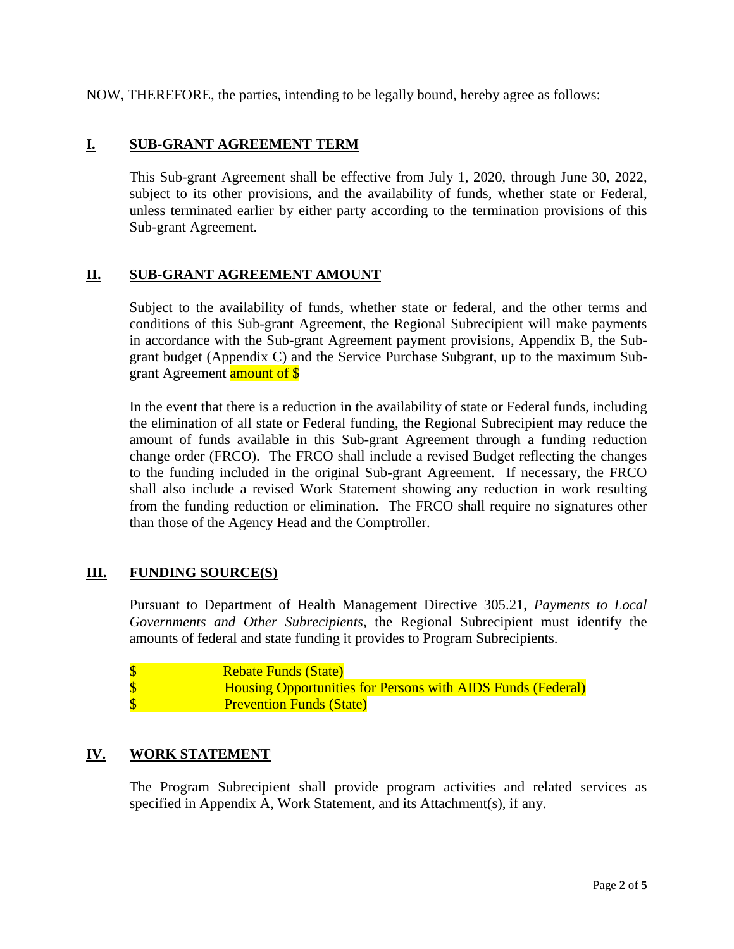NOW, THEREFORE, the parties, intending to be legally bound, hereby agree as follows:

## **I. SUB-GRANT AGREEMENT TERM**

This Sub-grant Agreement shall be effective from July 1, 2020, through June 30, 2022, subject to its other provisions, and the availability of funds, whether state or Federal, unless terminated earlier by either party according to the termination provisions of this Sub-grant Agreement.

## **II. SUB-GRANT AGREEMENT AMOUNT**

Subject to the availability of funds, whether state or federal, and the other terms and conditions of this Sub-grant Agreement, the Regional Subrecipient will make payments in accordance with the Sub-grant Agreement payment provisions, Appendix B, the Subgrant budget (Appendix C) and the Service Purchase Subgrant, up to the maximum Subgrant Agreement **amount of \$** 

In the event that there is a reduction in the availability of state or Federal funds, including the elimination of all state or Federal funding, the Regional Subrecipient may reduce the amount of funds available in this Sub-grant Agreement through a funding reduction change order (FRCO). The FRCO shall include a revised Budget reflecting the changes to the funding included in the original Sub-grant Agreement. If necessary, the FRCO shall also include a revised Work Statement showing any reduction in work resulting from the funding reduction or elimination. The FRCO shall require no signatures other than those of the Agency Head and the Comptroller.

#### **III. FUNDING SOURCE(S)**

Pursuant to Department of Health Management Directive 305.21, *Payments to Local Governments and Other Subrecipients*, the Regional Subrecipient must identify the amounts of federal and state funding it provides to Program Subrecipients.

| <b>Rebate Funds (State)</b>                                        |
|--------------------------------------------------------------------|
| <b>Housing Opportunities for Persons with AIDS Funds (Federal)</b> |
| \$<br><b>Prevention Funds (State)</b>                              |

## **IV. WORK STATEMENT**

The Program Subrecipient shall provide program activities and related services as specified in Appendix A, Work Statement, and its Attachment(s), if any.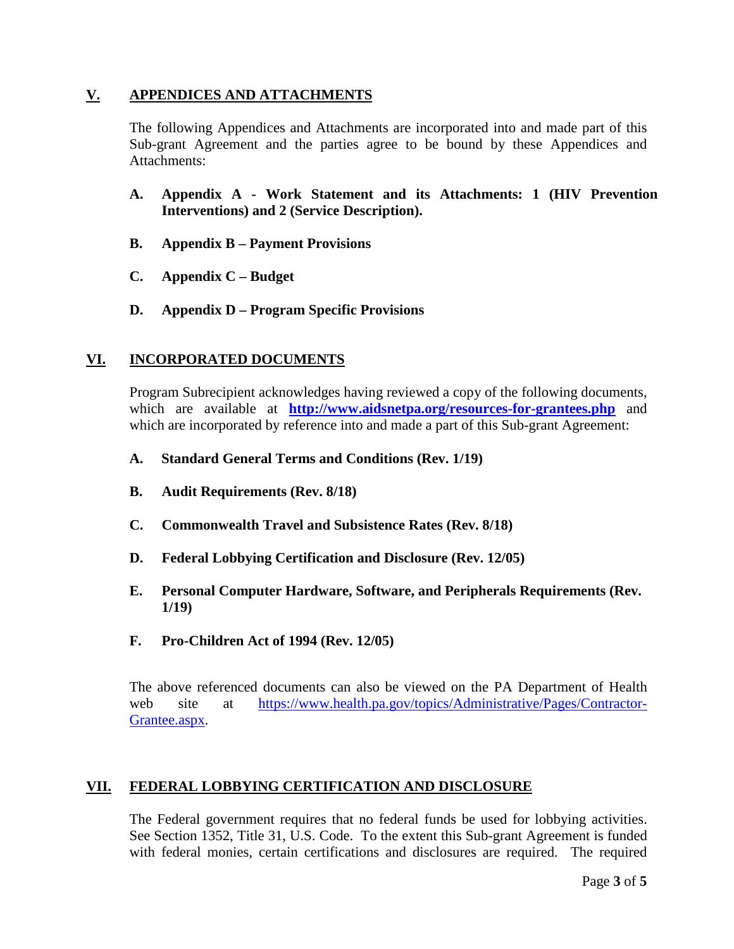## **V. APPENDICES AND ATTACHMENTS**

The following Appendices and Attachments are incorporated into and made part of this Sub-grant Agreement and the parties agree to be bound by these Appendices and Attachments:

- **A. Appendix A - Work Statement and its Attachments: 1 (HIV Prevention Interventions) and 2 (Service Description).**
- **B. Appendix B – Payment Provisions**
- **C. Appendix C – Budget**
- **D. Appendix D – Program Specific Provisions**

# **VI. INCORPORATED DOCUMENTS**

Program Subrecipient acknowledges having reviewed a copy of the following documents, which are available at **<http://www.aidsnetpa.org/resources-for-grantees.php>** and which are incorporated by reference into and made a part of this Sub-grant Agreement:

- **A. Standard General Terms and Conditions (Rev. 1/19)**
- **B. Audit Requirements (Rev. 8/18)**
- **C. Commonwealth Travel and Subsistence Rates (Rev. 8/18)**
- **D. Federal Lobbying Certification and Disclosure (Rev. 12/05)**
- **E. Personal Computer Hardware, Software, and Peripherals Requirements (Rev. 1/19)**
- **F. Pro-Children Act of 1994 (Rev. 12/05)**

The above referenced documents can also be viewed on the PA Department of Health web site at [https://www.health.pa.gov/topics/Administrative/Pages/Contractor-](https://www.health.pa.gov/topics/Administrative/Pages/Contractor-Grantee.aspx)[Grantee.aspx.](https://www.health.pa.gov/topics/Administrative/Pages/Contractor-Grantee.aspx)

## **VII. FEDERAL LOBBYING CERTIFICATION AND DISCLOSURE**

The Federal government requires that no federal funds be used for lobbying activities. See Section 1352, Title 31, U.S. Code. To the extent this Sub-grant Agreement is funded with federal monies, certain certifications and disclosures are required. The required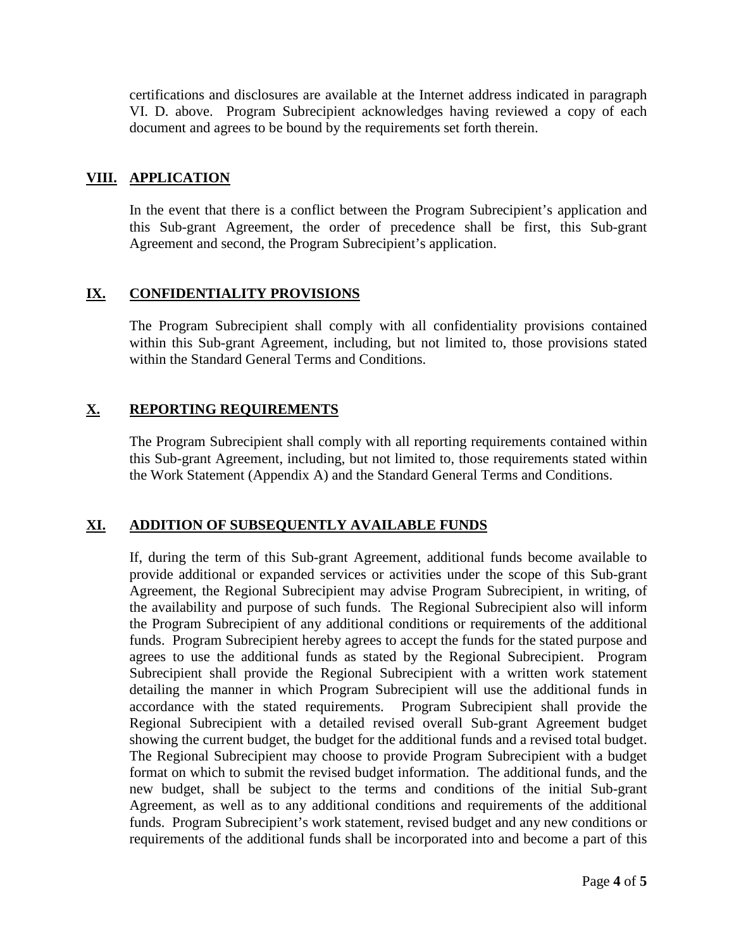certifications and disclosures are available at the Internet address indicated in paragraph VI. D. above. Program Subrecipient acknowledges having reviewed a copy of each document and agrees to be bound by the requirements set forth therein.

## **VIII. APPLICATION**

In the event that there is a conflict between the Program Subrecipient's application and this Sub-grant Agreement, the order of precedence shall be first, this Sub-grant Agreement and second, the Program Subrecipient's application.

## **IX. CONFIDENTIALITY PROVISIONS**

The Program Subrecipient shall comply with all confidentiality provisions contained within this Sub-grant Agreement, including, but not limited to, those provisions stated within the Standard General Terms and Conditions.

# **X. REPORTING REQUIREMENTS**

The Program Subrecipient shall comply with all reporting requirements contained within this Sub-grant Agreement, including, but not limited to, those requirements stated within the Work Statement (Appendix A) and the Standard General Terms and Conditions.

# **XI. ADDITION OF SUBSEQUENTLY AVAILABLE FUNDS**

If, during the term of this Sub-grant Agreement, additional funds become available to provide additional or expanded services or activities under the scope of this Sub-grant Agreement, the Regional Subrecipient may advise Program Subrecipient, in writing, of the availability and purpose of such funds. The Regional Subrecipient also will inform the Program Subrecipient of any additional conditions or requirements of the additional funds. Program Subrecipient hereby agrees to accept the funds for the stated purpose and agrees to use the additional funds as stated by the Regional Subrecipient. Program Subrecipient shall provide the Regional Subrecipient with a written work statement detailing the manner in which Program Subrecipient will use the additional funds in accordance with the stated requirements. Program Subrecipient shall provide the Regional Subrecipient with a detailed revised overall Sub-grant Agreement budget showing the current budget, the budget for the additional funds and a revised total budget. The Regional Subrecipient may choose to provide Program Subrecipient with a budget format on which to submit the revised budget information. The additional funds, and the new budget, shall be subject to the terms and conditions of the initial Sub-grant Agreement, as well as to any additional conditions and requirements of the additional funds. Program Subrecipient's work statement, revised budget and any new conditions or requirements of the additional funds shall be incorporated into and become a part of this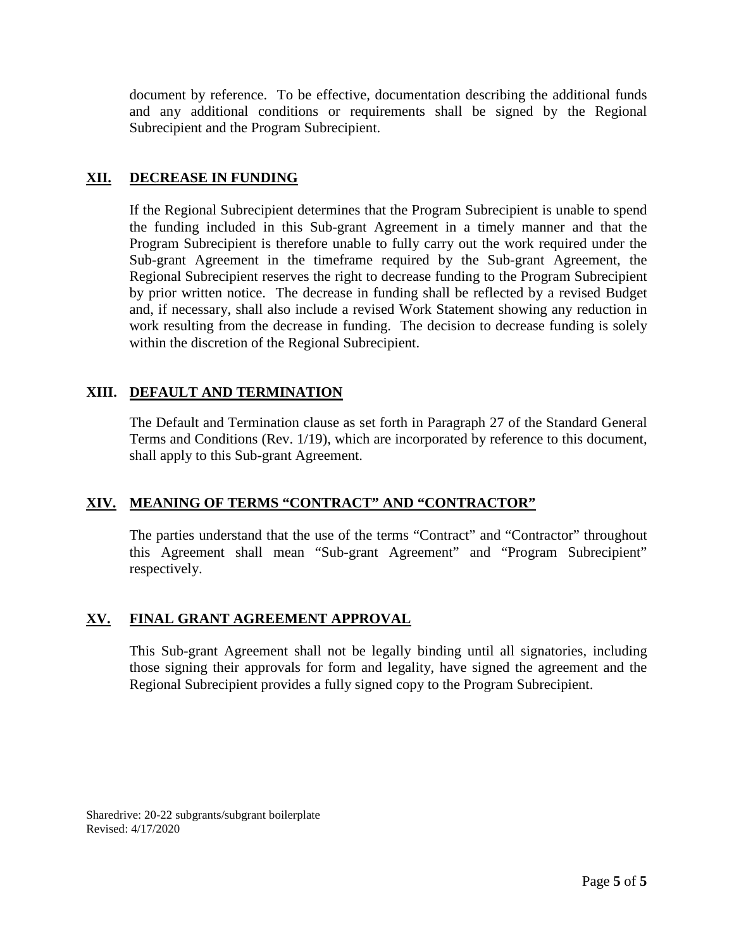document by reference. To be effective, documentation describing the additional funds and any additional conditions or requirements shall be signed by the Regional Subrecipient and the Program Subrecipient.

## **XII. DECREASE IN FUNDING**

If the Regional Subrecipient determines that the Program Subrecipient is unable to spend the funding included in this Sub-grant Agreement in a timely manner and that the Program Subrecipient is therefore unable to fully carry out the work required under the Sub-grant Agreement in the timeframe required by the Sub-grant Agreement, the Regional Subrecipient reserves the right to decrease funding to the Program Subrecipient by prior written notice. The decrease in funding shall be reflected by a revised Budget and, if necessary, shall also include a revised Work Statement showing any reduction in work resulting from the decrease in funding. The decision to decrease funding is solely within the discretion of the Regional Subrecipient.

## **XIII. DEFAULT AND TERMINATION**

The Default and Termination clause as set forth in Paragraph 27 of the Standard General Terms and Conditions (Rev. 1/19), which are incorporated by reference to this document, shall apply to this Sub-grant Agreement.

## **XIV. MEANING OF TERMS "CONTRACT" AND "CONTRACTOR"**

The parties understand that the use of the terms "Contract" and "Contractor" throughout this Agreement shall mean "Sub-grant Agreement" and "Program Subrecipient" respectively.

## **XV. FINAL GRANT AGREEMENT APPROVAL**

This Sub-grant Agreement shall not be legally binding until all signatories, including those signing their approvals for form and legality, have signed the agreement and the Regional Subrecipient provides a fully signed copy to the Program Subrecipient.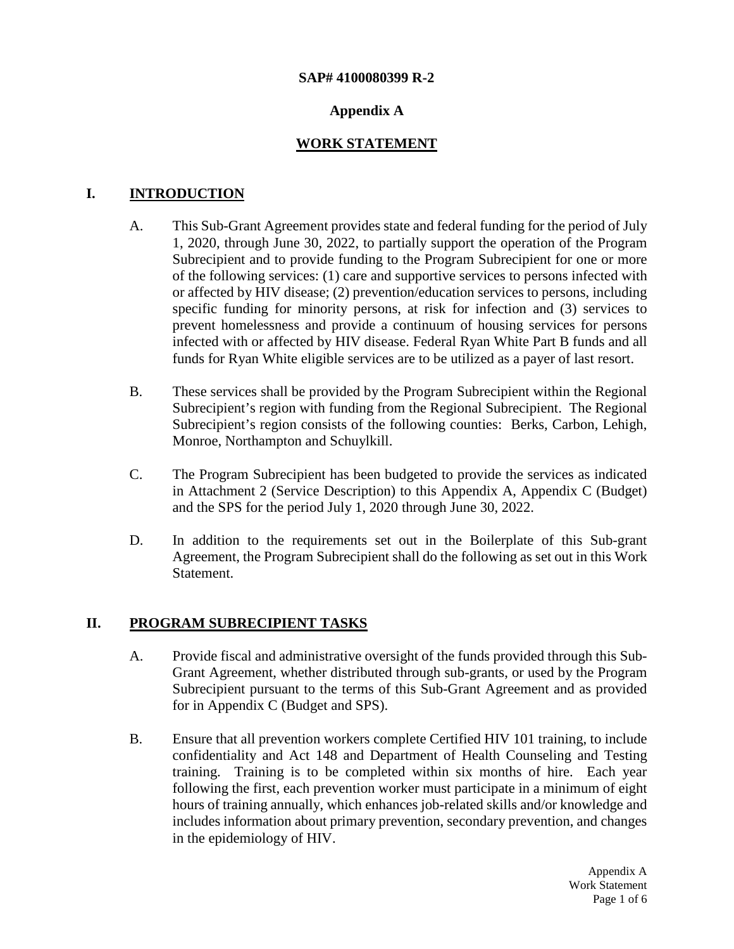#### **SAP# 4100080399 R-2**

## **Appendix A**

## **WORK STATEMENT**

## **I. INTRODUCTION**

- A. This Sub-Grant Agreement provides state and federal funding for the period of July 1, 2020, through June 30, 2022, to partially support the operation of the Program Subrecipient and to provide funding to the Program Subrecipient for one or more of the following services: (1) care and supportive services to persons infected with or affected by HIV disease; (2) prevention/education services to persons, including specific funding for minority persons, at risk for infection and (3) services to prevent homelessness and provide a continuum of housing services for persons infected with or affected by HIV disease. Federal Ryan White Part B funds and all funds for Ryan White eligible services are to be utilized as a payer of last resort.
- B. These services shall be provided by the Program Subrecipient within the Regional Subrecipient's region with funding from the Regional Subrecipient. The Regional Subrecipient's region consists of the following counties: Berks, Carbon, Lehigh, Monroe, Northampton and Schuylkill.
- C. The Program Subrecipient has been budgeted to provide the services as indicated in Attachment 2 (Service Description) to this Appendix A, Appendix C (Budget) and the SPS for the period July 1, 2020 through June 30, 2022.
- D. In addition to the requirements set out in the Boilerplate of this Sub-grant Agreement, the Program Subrecipient shall do the following as set out in this Work Statement.

#### **II. PROGRAM SUBRECIPIENT TASKS**

- A. Provide fiscal and administrative oversight of the funds provided through this Sub-Grant Agreement, whether distributed through sub-grants, or used by the Program Subrecipient pursuant to the terms of this Sub-Grant Agreement and as provided for in Appendix C (Budget and SPS).
- B. Ensure that all prevention workers complete Certified HIV 101 training, to include confidentiality and Act 148 and Department of Health Counseling and Testing training. Training is to be completed within six months of hire. Each year following the first, each prevention worker must participate in a minimum of eight hours of training annually, which enhances job-related skills and/or knowledge and includes information about primary prevention, secondary prevention, and changes in the epidemiology of HIV.

Appendix A Work Statement Page 1 of 6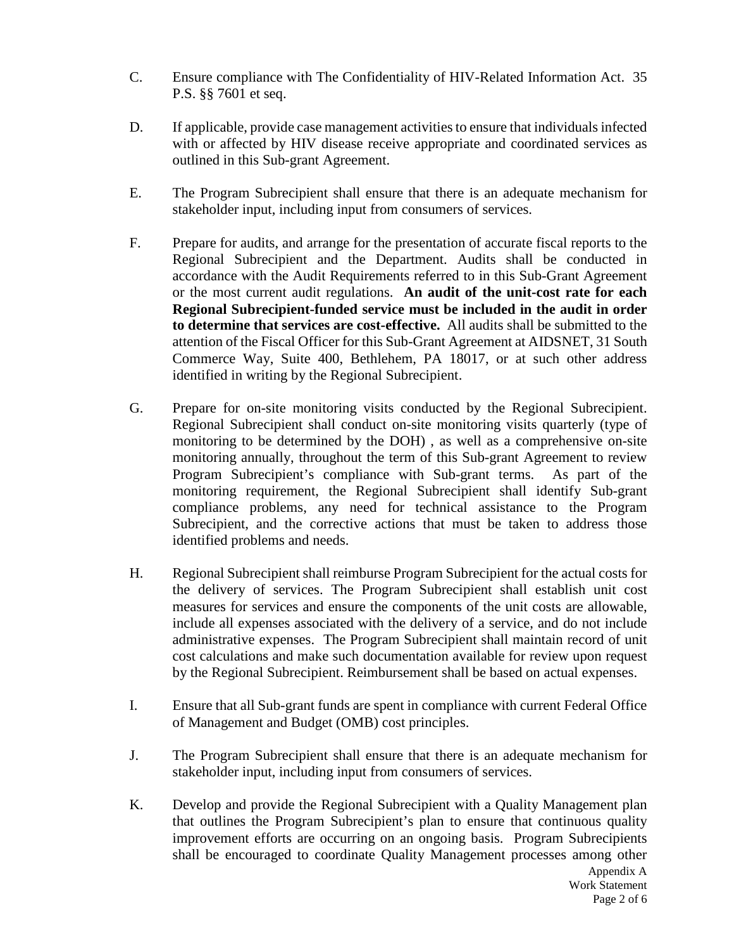- C. Ensure compliance with The Confidentiality of HIV-Related Information Act. 35 P.S. §§ 7601 et seq.
- D. If applicable, provide case management activities to ensure that individuals infected with or affected by HIV disease receive appropriate and coordinated services as outlined in this Sub-grant Agreement.
- E. The Program Subrecipient shall ensure that there is an adequate mechanism for stakeholder input, including input from consumers of services.
- F. Prepare for audits, and arrange for the presentation of accurate fiscal reports to the Regional Subrecipient and the Department. Audits shall be conducted in accordance with the Audit Requirements referred to in this Sub-Grant Agreement or the most current audit regulations. **An audit of the unit-cost rate for each Regional Subrecipient-funded service must be included in the audit in order to determine that services are cost-effective.** All audits shall be submitted to the attention of the Fiscal Officer for this Sub-Grant Agreement at AIDSNET, 31 South Commerce Way, Suite 400, Bethlehem, PA 18017, or at such other address identified in writing by the Regional Subrecipient.
- G. Prepare for on-site monitoring visits conducted by the Regional Subrecipient. Regional Subrecipient shall conduct on-site monitoring visits quarterly (type of monitoring to be determined by the DOH) , as well as a comprehensive on-site monitoring annually, throughout the term of this Sub-grant Agreement to review Program Subrecipient's compliance with Sub-grant terms. As part of the monitoring requirement, the Regional Subrecipient shall identify Sub-grant compliance problems, any need for technical assistance to the Program Subrecipient, and the corrective actions that must be taken to address those identified problems and needs.
- H. Regional Subrecipient shall reimburse Program Subrecipient for the actual costs for the delivery of services. The Program Subrecipient shall establish unit cost measures for services and ensure the components of the unit costs are allowable, include all expenses associated with the delivery of a service, and do not include administrative expenses. The Program Subrecipient shall maintain record of unit cost calculations and make such documentation available for review upon request by the Regional Subrecipient. Reimbursement shall be based on actual expenses.
- I. Ensure that all Sub-grant funds are spent in compliance with current Federal Office of Management and Budget (OMB) cost principles.
- J. The Program Subrecipient shall ensure that there is an adequate mechanism for stakeholder input, including input from consumers of services.
- K. Develop and provide the Regional Subrecipient with a Quality Management plan that outlines the Program Subrecipient's plan to ensure that continuous quality improvement efforts are occurring on an ongoing basis. Program Subrecipients shall be encouraged to coordinate Quality Management processes among other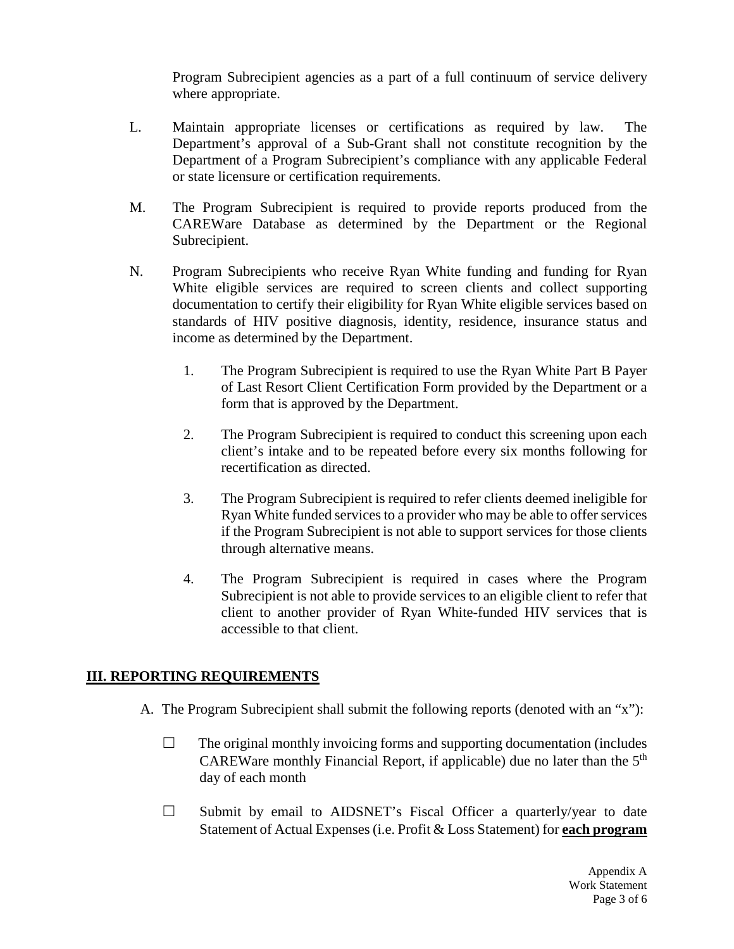Program Subrecipient agencies as a part of a full continuum of service delivery where appropriate.

- L. Maintain appropriate licenses or certifications as required by law. The Department's approval of a Sub-Grant shall not constitute recognition by the Department of a Program Subrecipient's compliance with any applicable Federal or state licensure or certification requirements.
- M. The Program Subrecipient is required to provide reports produced from the CAREWare Database as determined by the Department or the Regional Subrecipient.
- N. Program Subrecipients who receive Ryan White funding and funding for Ryan White eligible services are required to screen clients and collect supporting documentation to certify their eligibility for Ryan White eligible services based on standards of HIV positive diagnosis, identity, residence, insurance status and income as determined by the Department.
	- 1. The Program Subrecipient is required to use the Ryan White Part B Payer of Last Resort Client Certification Form provided by the Department or a form that is approved by the Department.
	- 2. The Program Subrecipient is required to conduct this screening upon each client's intake and to be repeated before every six months following for recertification as directed.
	- 3. The Program Subrecipient is required to refer clients deemed ineligible for Ryan White funded services to a provider who may be able to offer services if the Program Subrecipient is not able to support services for those clients through alternative means.
	- 4. The Program Subrecipient is required in cases where the Program Subrecipient is not able to provide services to an eligible client to refer that client to another provider of Ryan White-funded HIV services that is accessible to that client.

## **III. REPORTING REQUIREMENTS**

- A. The Program Subrecipient shall submit the following reports (denoted with an "x"):
	- $\Box$  The original monthly invoicing forms and supporting documentation (includes CAREWare monthly Financial Report, if applicable) due no later than the  $5<sup>th</sup>$ day of each month
	- $\Box$  Submit by email to AIDSNET's Fiscal Officer a quarterly/year to date Statement of Actual Expenses (i.e. Profit & Loss Statement) for **each program**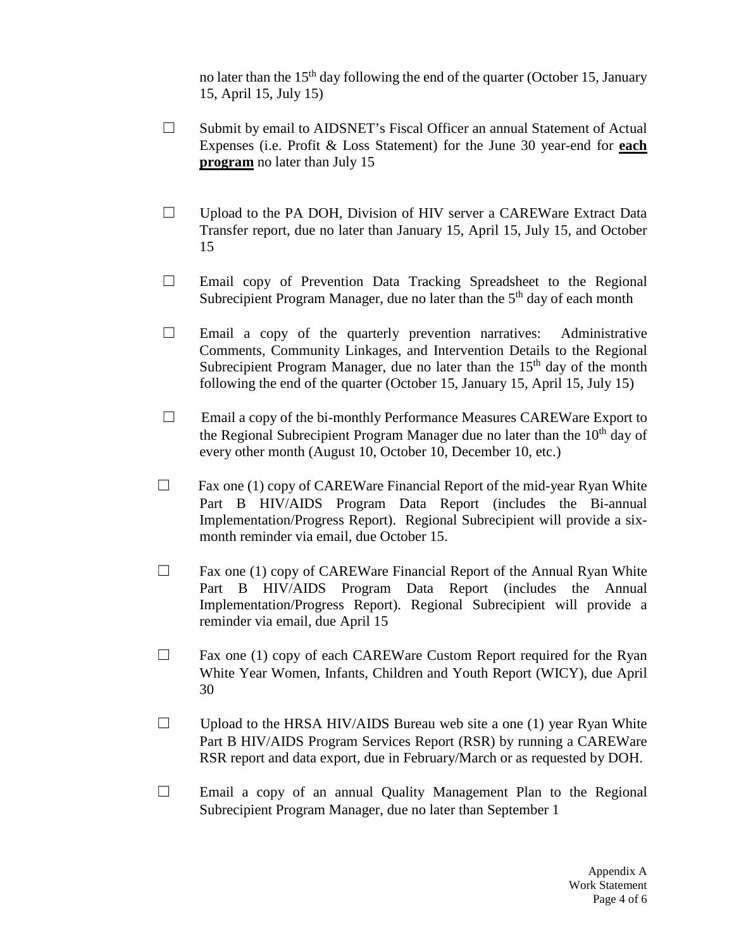no later than the  $15<sup>th</sup>$  day following the end of the quarter (October 15, January 15, April 15, July 15)

- □ Submit by email to AIDSNET's Fiscal Officer an annual Statement of Actual Expenses (i.e. Profit & Loss Statement) for the June 30 year-end for **each program** no later than July 15
- □ Upload to the PA DOH, Division of HIV server a CAREWare Extract Data Transfer report, due no later than January 15, April 15, July 15, and October 15
- $\Box$  Email copy of Prevention Data Tracking Spreadsheet to the Regional Subrecipient Program Manager, due no later than the  $5<sup>th</sup>$  day of each month
- $\Box$  Email a copy of the quarterly prevention narratives: Administrative Comments, Community Linkages, and Intervention Details to the Regional Subrecipient Program Manager, due no later than the  $15<sup>th</sup>$  day of the month following the end of the quarter (October 15, January 15, April 15, July 15)
- ☐ Email a copy of the bi-monthly Performance Measures CAREWare Export to the Regional Subrecipient Program Manager due no later than the  $10<sup>th</sup>$  day of every other month (August 10, October 10, December 10, etc.)
- $\Box$  Fax one (1) copy of CAREWare Financial Report of the mid-year Ryan White Part B HIV/AIDS Program Data Report (includes the Bi-annual Implementation/Progress Report). Regional Subrecipient will provide a sixmonth reminder via email, due October 15.
- $\Box$  Fax one (1) copy of CAREWare Financial Report of the Annual Ryan White Part B HIV/AIDS Program Data Report (includes the Annual Implementation/Progress Report). Regional Subrecipient will provide a reminder via email, due April 15
- $\Box$  Fax one (1) copy of each CAREWare Custom Report required for the Ryan White Year Women, Infants, Children and Youth Report (WICY), due April 30
- $\Box$  Upload to the HRSA HIV/AIDS Bureau web site a one (1) year Ryan White Part B HIV/AIDS Program Services Report (RSR) by running a CAREWare RSR report and data export, due in February/March or as requested by DOH.
- $\Box$  Email a copy of an annual Quality Management Plan to the Regional Subrecipient Program Manager, due no later than September 1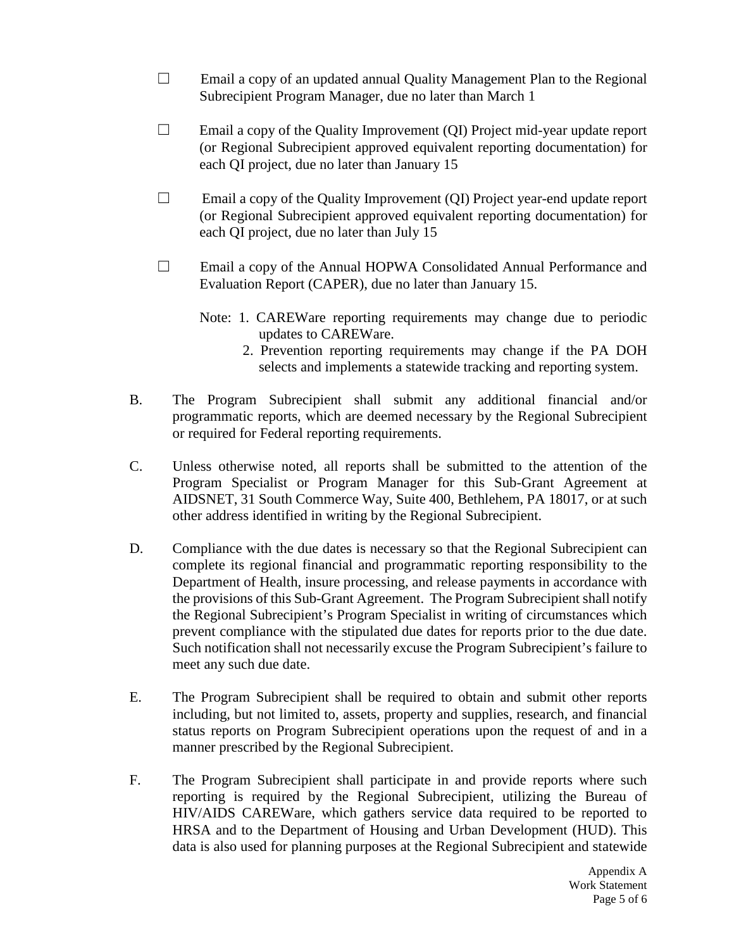- ☐ Email a copy of an updated annual Quality Management Plan to the Regional Subrecipient Program Manager, due no later than March 1
- $\Box$  Email a copy of the Quality Improvement (QI) Project mid-year update report (or Regional Subrecipient approved equivalent reporting documentation) for each QI project, due no later than January 15
- ☐ Email a copy of the Quality Improvement (QI) Project year-end update report (or Regional Subrecipient approved equivalent reporting documentation) for each QI project, due no later than July 15
- ☐ Email a copy of the Annual HOPWA Consolidated Annual Performance and Evaluation Report (CAPER), due no later than January 15.
	- Note: 1. CAREWare reporting requirements may change due to periodic updates to CAREWare.
		- 2. Prevention reporting requirements may change if the PA DOH selects and implements a statewide tracking and reporting system.
- B. The Program Subrecipient shall submit any additional financial and/or programmatic reports, which are deemed necessary by the Regional Subrecipient or required for Federal reporting requirements.
- C. Unless otherwise noted, all reports shall be submitted to the attention of the Program Specialist or Program Manager for this Sub-Grant Agreement at AIDSNET, 31 South Commerce Way, Suite 400, Bethlehem, PA 18017, or at such other address identified in writing by the Regional Subrecipient.
- D. Compliance with the due dates is necessary so that the Regional Subrecipient can complete its regional financial and programmatic reporting responsibility to the Department of Health, insure processing, and release payments in accordance with the provisions of this Sub-Grant Agreement. The Program Subrecipient shall notify the Regional Subrecipient's Program Specialist in writing of circumstances which prevent compliance with the stipulated due dates for reports prior to the due date. Such notification shall not necessarily excuse the Program Subrecipient's failure to meet any such due date.
- E. The Program Subrecipient shall be required to obtain and submit other reports including, but not limited to, assets, property and supplies, research, and financial status reports on Program Subrecipient operations upon the request of and in a manner prescribed by the Regional Subrecipient.
- F. The Program Subrecipient shall participate in and provide reports where such reporting is required by the Regional Subrecipient, utilizing the Bureau of HIV/AIDS CAREWare, which gathers service data required to be reported to HRSA and to the Department of Housing and Urban Development (HUD). This data is also used for planning purposes at the Regional Subrecipient and statewide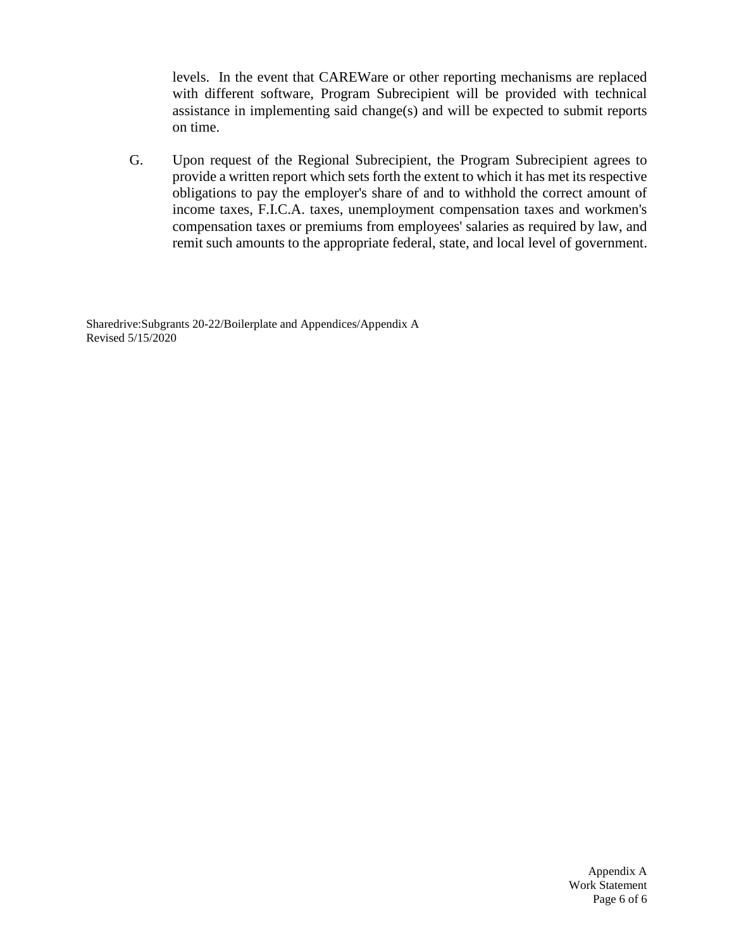levels. In the event that CAREWare or other reporting mechanisms are replaced with different software, Program Subrecipient will be provided with technical assistance in implementing said change(s) and will be expected to submit reports on time.

G. Upon request of the Regional Subrecipient, the Program Subrecipient agrees to provide a written report which sets forth the extent to which it has met its respective obligations to pay the employer's share of and to withhold the correct amount of income taxes, F.I.C.A. taxes, unemployment compensation taxes and workmen's compensation taxes or premiums from employees' salaries as required by law, and remit such amounts to the appropriate federal, state, and local level of government.

Sharedrive:Subgrants 20-22/Boilerplate and Appendices/Appendix A Revised 5/15/2020

> Appendix A Work Statement Page 6 of 6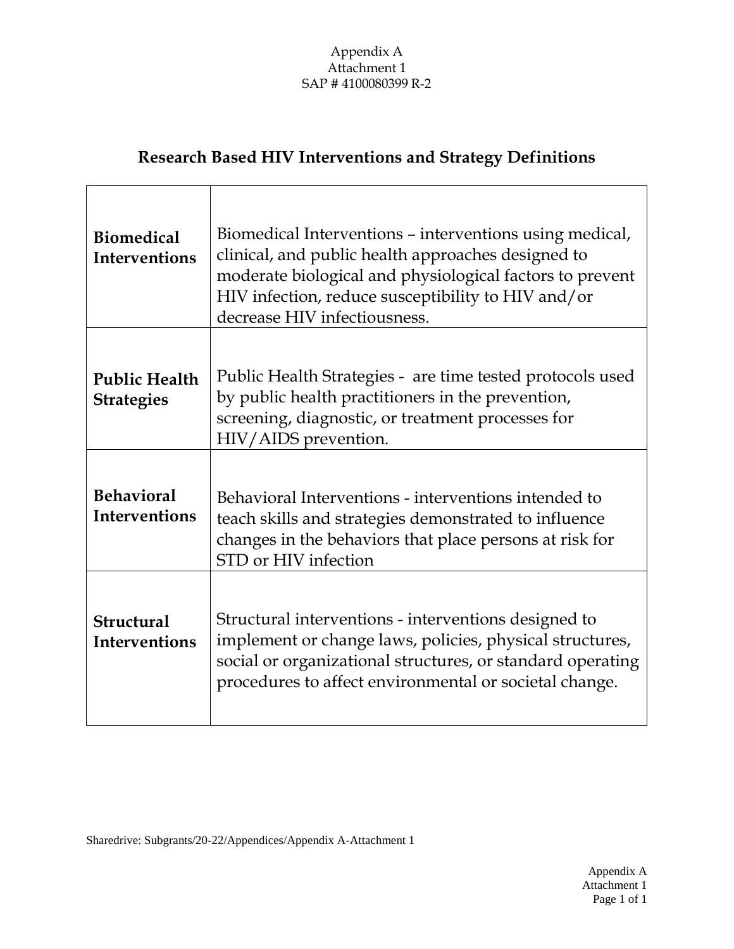# Appendix A Attachment 1 SAP # 4100080399 R-2

# **Research Based HIV Interventions and Strategy Definitions**

| <b>Biomedical</b><br><b>Interventions</b> | Biomedical Interventions – interventions using medical,<br>clinical, and public health approaches designed to<br>moderate biological and physiological factors to prevent<br>HIV infection, reduce susceptibility to HIV and/or<br>decrease HIV infectiousness. |
|-------------------------------------------|-----------------------------------------------------------------------------------------------------------------------------------------------------------------------------------------------------------------------------------------------------------------|
| <b>Public Health</b><br><b>Strategies</b> | Public Health Strategies - are time tested protocols used<br>by public health practitioners in the prevention,<br>screening, diagnostic, or treatment processes for<br>HIV/AIDS prevention.                                                                     |
| <b>Behavioral</b><br><b>Interventions</b> | Behavioral Interventions - interventions intended to<br>teach skills and strategies demonstrated to influence<br>changes in the behaviors that place persons at risk for<br>STD or HIV infection                                                                |
| <b>Structural</b><br><b>Interventions</b> | Structural interventions - interventions designed to<br>implement or change laws, policies, physical structures,<br>social or organizational structures, or standard operating<br>procedures to affect environmental or societal change.                        |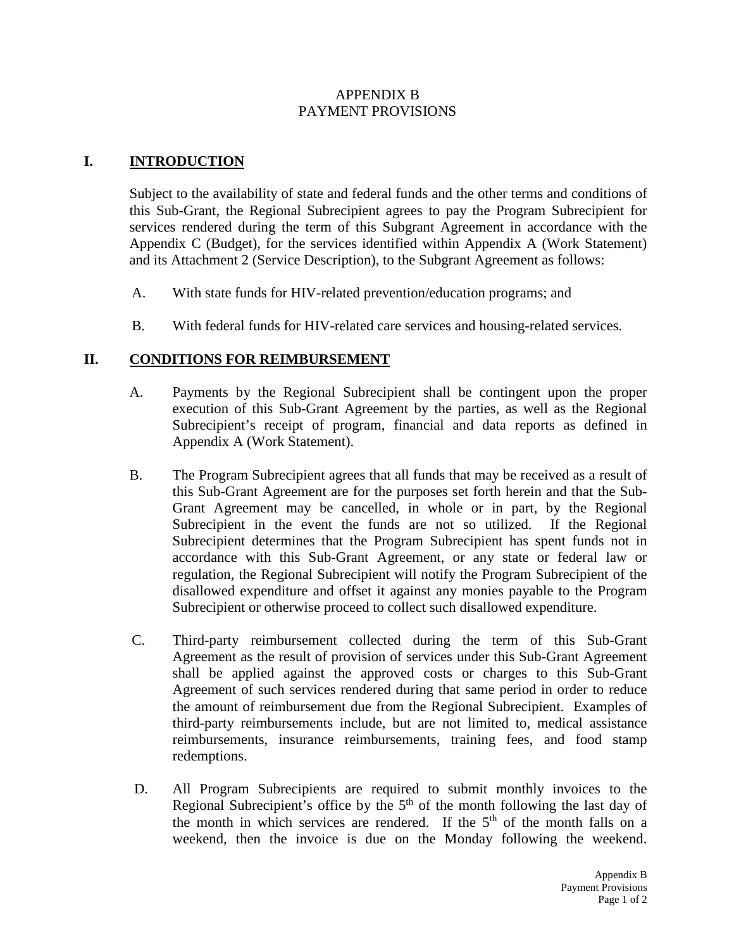## APPENDIX B PAYMENT PROVISIONS

## **I. INTRODUCTION**

Subject to the availability of state and federal funds and the other terms and conditions of this Sub-Grant, the Regional Subrecipient agrees to pay the Program Subrecipient for services rendered during the term of this Subgrant Agreement in accordance with the Appendix C (Budget), for the services identified within Appendix A (Work Statement) and its Attachment 2 (Service Description), to the Subgrant Agreement as follows:

- A. With state funds for HIV-related prevention/education programs; and
- B. With federal funds for HIV-related care services and housing-related services.

# **II. CONDITIONS FOR REIMBURSEMENT**

- A. Payments by the Regional Subrecipient shall be contingent upon the proper execution of this Sub-Grant Agreement by the parties, as well as the Regional Subrecipient's receipt of program, financial and data reports as defined in Appendix A (Work Statement).
- B. The Program Subrecipient agrees that all funds that may be received as a result of this Sub-Grant Agreement are for the purposes set forth herein and that the Sub-Grant Agreement may be cancelled, in whole or in part, by the Regional Subrecipient in the event the funds are not so utilized. If the Regional Subrecipient determines that the Program Subrecipient has spent funds not in accordance with this Sub-Grant Agreement, or any state or federal law or regulation, the Regional Subrecipient will notify the Program Subrecipient of the disallowed expenditure and offset it against any monies payable to the Program Subrecipient or otherwise proceed to collect such disallowed expenditure.
- C. Third-party reimbursement collected during the term of this Sub-Grant Agreement as the result of provision of services under this Sub-Grant Agreement shall be applied against the approved costs or charges to this Sub-Grant Agreement of such services rendered during that same period in order to reduce the amount of reimbursement due from the Regional Subrecipient. Examples of third-party reimbursements include, but are not limited to, medical assistance reimbursements, insurance reimbursements, training fees, and food stamp redemptions.
- D. All Program Subrecipients are required to submit monthly invoices to the Regional Subrecipient's office by the  $5<sup>th</sup>$  of the month following the last day of the month in which services are rendered. If the  $5<sup>th</sup>$  of the month falls on a weekend, then the invoice is due on the Monday following the weekend.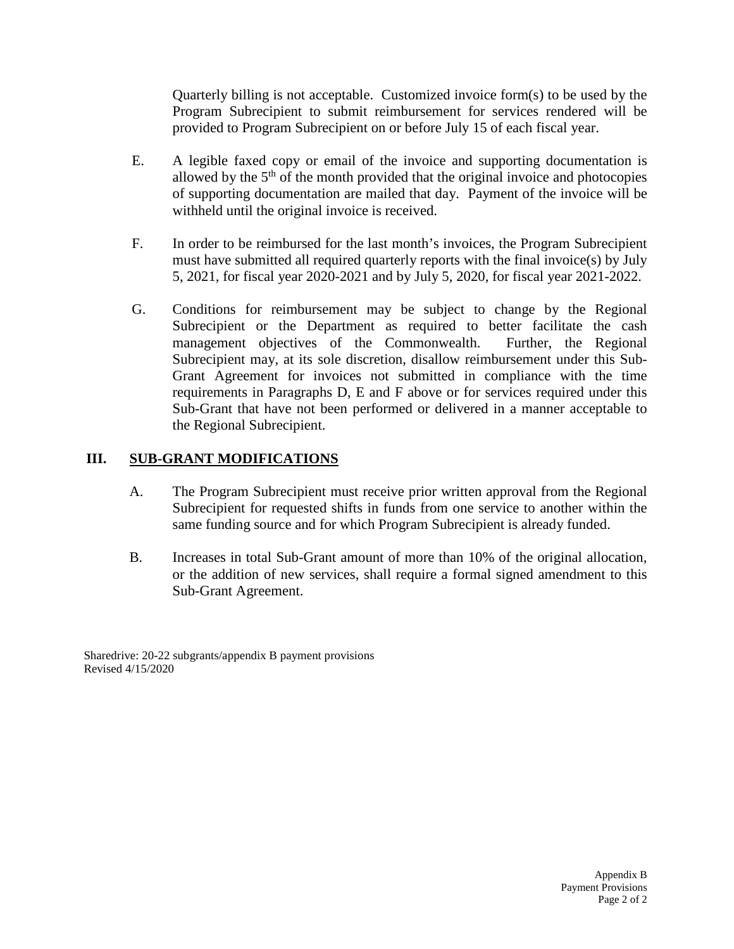Quarterly billing is not acceptable. Customized invoice form(s) to be used by the Program Subrecipient to submit reimbursement for services rendered will be provided to Program Subrecipient on or before July 15 of each fiscal year.

- E. A legible faxed copy or email of the invoice and supporting documentation is allowed by the  $5<sup>th</sup>$  of the month provided that the original invoice and photocopies of supporting documentation are mailed that day. Payment of the invoice will be withheld until the original invoice is received.
- F. In order to be reimbursed for the last month's invoices, the Program Subrecipient must have submitted all required quarterly reports with the final invoice(s) by July 5, 2021, for fiscal year 2020-2021 and by July 5, 2020, for fiscal year 2021-2022.
- G. Conditions for reimbursement may be subject to change by the Regional Subrecipient or the Department as required to better facilitate the cash management objectives of the Commonwealth. Further, the Regional Subrecipient may, at its sole discretion, disallow reimbursement under this Sub-Grant Agreement for invoices not submitted in compliance with the time requirements in Paragraphs D, E and F above or for services required under this Sub-Grant that have not been performed or delivered in a manner acceptable to the Regional Subrecipient.

# **III. SUB-GRANT MODIFICATIONS**

- A. The Program Subrecipient must receive prior written approval from the Regional Subrecipient for requested shifts in funds from one service to another within the same funding source and for which Program Subrecipient is already funded.
- B. Increases in total Sub-Grant amount of more than 10% of the original allocation, or the addition of new services, shall require a formal signed amendment to this Sub-Grant Agreement.

Sharedrive: 20-22 subgrants/appendix B payment provisions Revised 4/15/2020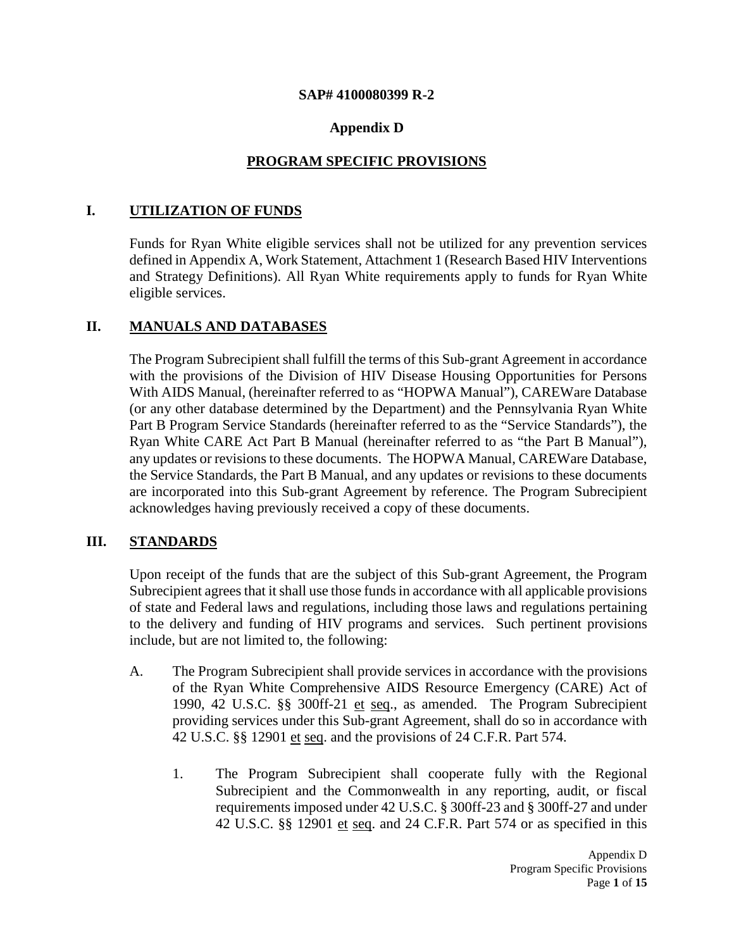#### **SAP# 4100080399 R-2**

# **Appendix D**

# **PROGRAM SPECIFIC PROVISIONS**

## **I. UTILIZATION OF FUNDS**

Funds for Ryan White eligible services shall not be utilized for any prevention services defined in Appendix A, Work Statement, Attachment 1 (Research Based HIV Interventions and Strategy Definitions). All Ryan White requirements apply to funds for Ryan White eligible services.

## **II. MANUALS AND DATABASES**

The Program Subrecipient shall fulfill the terms of this Sub-grant Agreement in accordance with the provisions of the Division of HIV Disease Housing Opportunities for Persons With AIDS Manual, (hereinafter referred to as "HOPWA Manual"), CAREWare Database (or any other database determined by the Department) and the Pennsylvania Ryan White Part B Program Service Standards (hereinafter referred to as the "Service Standards"), the Ryan White CARE Act Part B Manual (hereinafter referred to as "the Part B Manual"), any updates or revisions to these documents. The HOPWA Manual, CAREWare Database, the Service Standards, the Part B Manual, and any updates or revisions to these documents are incorporated into this Sub-grant Agreement by reference. The Program Subrecipient acknowledges having previously received a copy of these documents.

## **III. STANDARDS**

Upon receipt of the funds that are the subject of this Sub-grant Agreement, the Program Subrecipient agrees that it shall use those funds in accordance with all applicable provisions of state and Federal laws and regulations, including those laws and regulations pertaining to the delivery and funding of HIV programs and services. Such pertinent provisions include, but are not limited to, the following:

- A. The Program Subrecipient shall provide services in accordance with the provisions of the Ryan White Comprehensive AIDS Resource Emergency (CARE) Act of 1990, 42 U.S.C. §§ 300ff-21 et seq., as amended. The Program Subrecipient providing services under this Sub-grant Agreement, shall do so in accordance with 42 U.S.C. §§ 12901 et seq. and the provisions of 24 C.F.R. Part 574.
	- 1. The Program Subrecipient shall cooperate fully with the Regional Subrecipient and the Commonwealth in any reporting, audit, or fiscal requirements imposed under 42 U.S.C. § 300ff-23 and § 300ff-27 and under 42 U.S.C. §§ 12901 et seq. and 24 C.F.R. Part 574 or as specified in this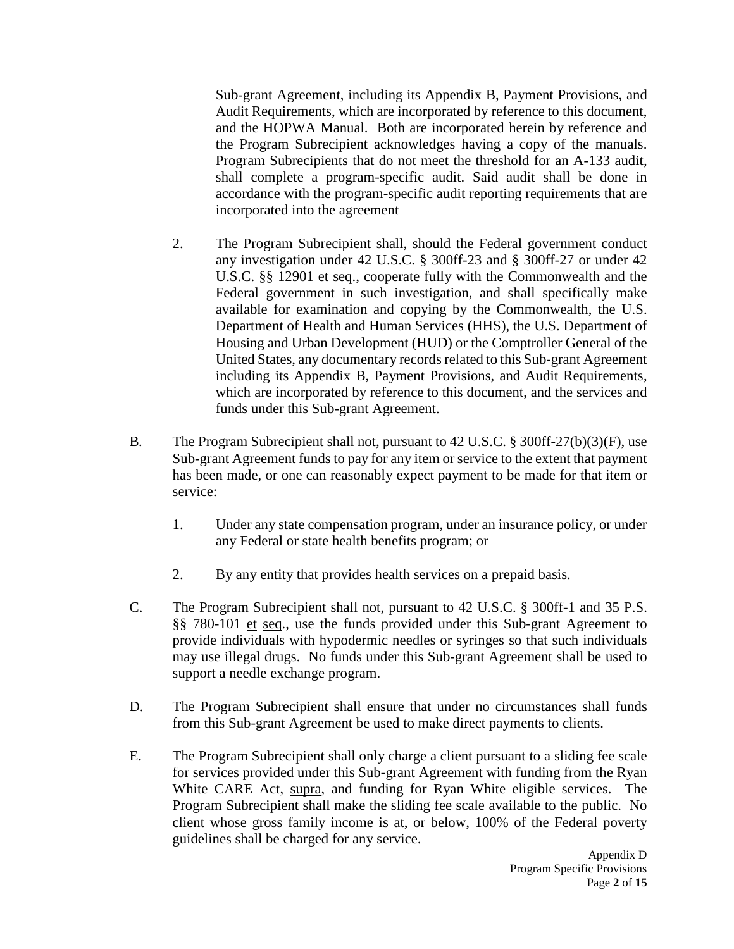Sub-grant Agreement, including its Appendix B, Payment Provisions, and Audit Requirements, which are incorporated by reference to this document, and the HOPWA Manual. Both are incorporated herein by reference and the Program Subrecipient acknowledges having a copy of the manuals. Program Subrecipients that do not meet the threshold for an A-133 audit, shall complete a program-specific audit. Said audit shall be done in accordance with the program-specific audit reporting requirements that are incorporated into the agreement

- 2. The Program Subrecipient shall, should the Federal government conduct any investigation under 42 U.S.C. § 300ff-23 and § 300ff-27 or under 42 U.S.C. §§ 12901 et seq., cooperate fully with the Commonwealth and the Federal government in such investigation, and shall specifically make available for examination and copying by the Commonwealth, the U.S. Department of Health and Human Services (HHS), the U.S. Department of Housing and Urban Development (HUD) or the Comptroller General of the United States, any documentary records related to this Sub-grant Agreement including its Appendix B, Payment Provisions, and Audit Requirements, which are incorporated by reference to this document, and the services and funds under this Sub-grant Agreement.
- B*.* The Program Subrecipient shall not, pursuant to 42 U.S.C. § 300ff-27(b)(3)(F), use Sub-grant Agreement funds to pay for any item or service to the extent that payment has been made, or one can reasonably expect payment to be made for that item or service:
	- 1. Under any state compensation program, under an insurance policy, or under any Federal or state health benefits program; or
	- 2. By any entity that provides health services on a prepaid basis.
- C. The Program Subrecipient shall not, pursuant to 42 U.S.C. § 300ff-1 and 35 P.S. §§ 780-101 et seq., use the funds provided under this Sub-grant Agreement to provide individuals with hypodermic needles or syringes so that such individuals may use illegal drugs. No funds under this Sub-grant Agreement shall be used to support a needle exchange program.
- D. The Program Subrecipient shall ensure that under no circumstances shall funds from this Sub-grant Agreement be used to make direct payments to clients.
- E. The Program Subrecipient shall only charge a client pursuant to a sliding fee scale for services provided under this Sub-grant Agreement with funding from the Ryan White CARE Act, supra, and funding for Ryan White eligible services. The Program Subrecipient shall make the sliding fee scale available to the public. No client whose gross family income is at, or below, 100% of the Federal poverty guidelines shall be charged for any service.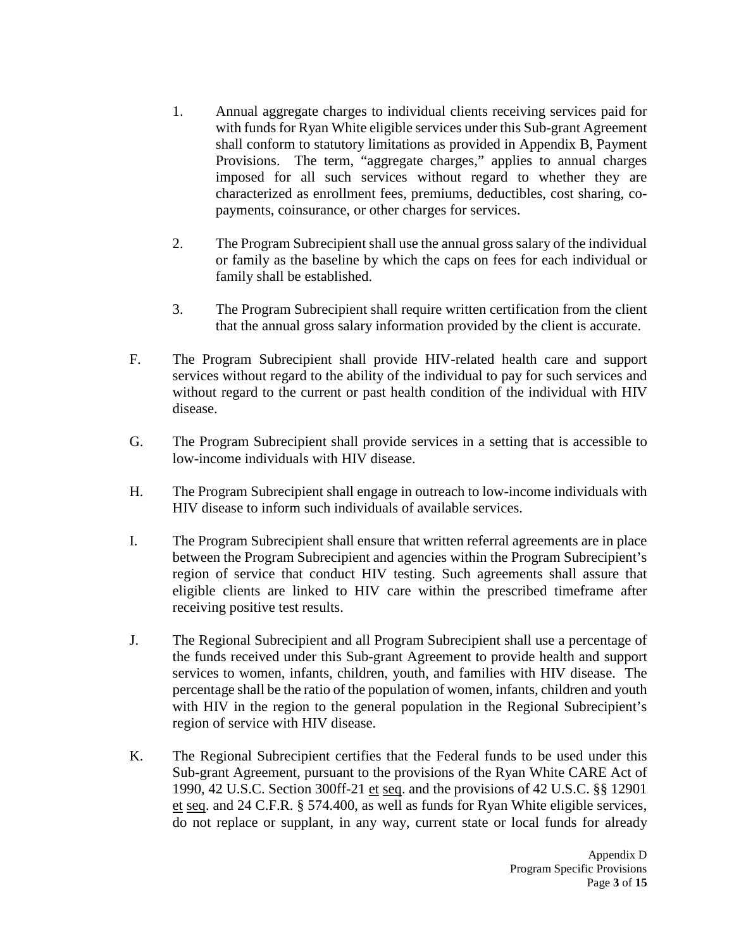- 1. Annual aggregate charges to individual clients receiving services paid for with funds for Ryan White eligible services under this Sub-grant Agreement shall conform to statutory limitations as provided in Appendix B, Payment Provisions. The term, "aggregate charges," applies to annual charges imposed for all such services without regard to whether they are characterized as enrollment fees, premiums, deductibles, cost sharing, copayments, coinsurance, or other charges for services.
- 2. The Program Subrecipient shall use the annual gross salary of the individual or family as the baseline by which the caps on fees for each individual or family shall be established.
- 3. The Program Subrecipient shall require written certification from the client that the annual gross salary information provided by the client is accurate.
- F. The Program Subrecipient shall provide HIV-related health care and support services without regard to the ability of the individual to pay for such services and without regard to the current or past health condition of the individual with HIV disease.
- G. The Program Subrecipient shall provide services in a setting that is accessible to low-income individuals with HIV disease.
- H. The Program Subrecipient shall engage in outreach to low-income individuals with HIV disease to inform such individuals of available services.
- I. The Program Subrecipient shall ensure that written referral agreements are in place between the Program Subrecipient and agencies within the Program Subrecipient's region of service that conduct HIV testing. Such agreements shall assure that eligible clients are linked to HIV care within the prescribed timeframe after receiving positive test results.
- J. The Regional Subrecipient and all Program Subrecipient shall use a percentage of the funds received under this Sub-grant Agreement to provide health and support services to women, infants, children, youth, and families with HIV disease. The percentage shall be the ratio of the population of women, infants, children and youth with HIV in the region to the general population in the Regional Subrecipient's region of service with HIV disease.
- K. The Regional Subrecipient certifies that the Federal funds to be used under this Sub-grant Agreement, pursuant to the provisions of the Ryan White CARE Act of 1990, 42 U.S.C. Section 300ff-21 et seq. and the provisions of 42 U.S.C. §§ 12901 et seq. and 24 C.F.R. § 574.400, as well as funds for Ryan White eligible services, do not replace or supplant, in any way, current state or local funds for already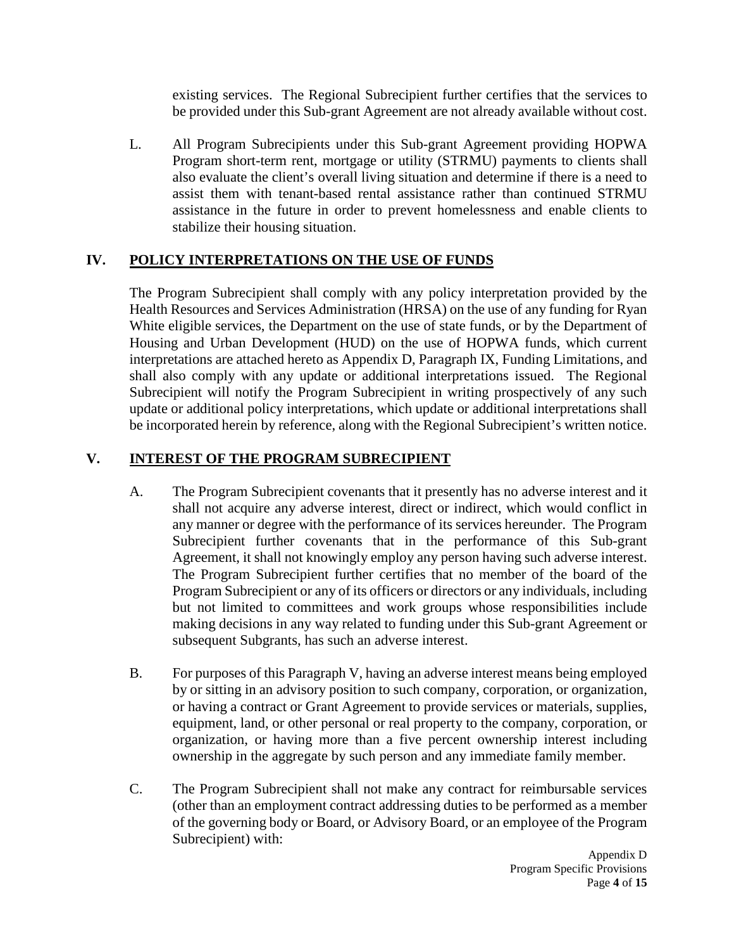existing services. The Regional Subrecipient further certifies that the services to be provided under this Sub-grant Agreement are not already available without cost.

L. All Program Subrecipients under this Sub-grant Agreement providing HOPWA Program short-term rent, mortgage or utility (STRMU) payments to clients shall also evaluate the client's overall living situation and determine if there is a need to assist them with tenant-based rental assistance rather than continued STRMU assistance in the future in order to prevent homelessness and enable clients to stabilize their housing situation.

# **IV. POLICY INTERPRETATIONS ON THE USE OF FUNDS**

The Program Subrecipient shall comply with any policy interpretation provided by the Health Resources and Services Administration (HRSA) on the use of any funding for Ryan White eligible services, the Department on the use of state funds, or by the Department of Housing and Urban Development (HUD) on the use of HOPWA funds, which current interpretations are attached hereto as Appendix D, Paragraph IX, Funding Limitations, and shall also comply with any update or additional interpretations issued. The Regional Subrecipient will notify the Program Subrecipient in writing prospectively of any such update or additional policy interpretations, which update or additional interpretations shall be incorporated herein by reference, along with the Regional Subrecipient's written notice.

# **V. INTEREST OF THE PROGRAM SUBRECIPIENT**

- A. The Program Subrecipient covenants that it presently has no adverse interest and it shall not acquire any adverse interest, direct or indirect, which would conflict in any manner or degree with the performance of its services hereunder. The Program Subrecipient further covenants that in the performance of this Sub-grant Agreement, it shall not knowingly employ any person having such adverse interest. The Program Subrecipient further certifies that no member of the board of the Program Subrecipient or any of its officers or directors or any individuals, including but not limited to committees and work groups whose responsibilities include making decisions in any way related to funding under this Sub-grant Agreement or subsequent Subgrants, has such an adverse interest.
- B. For purposes of this Paragraph V, having an adverse interest means being employed by or sitting in an advisory position to such company, corporation, or organization, or having a contract or Grant Agreement to provide services or materials, supplies, equipment, land, or other personal or real property to the company, corporation, or organization, or having more than a five percent ownership interest including ownership in the aggregate by such person and any immediate family member.
- C. The Program Subrecipient shall not make any contract for reimbursable services (other than an employment contract addressing duties to be performed as a member of the governing body or Board, or Advisory Board, or an employee of the Program Subrecipient) with: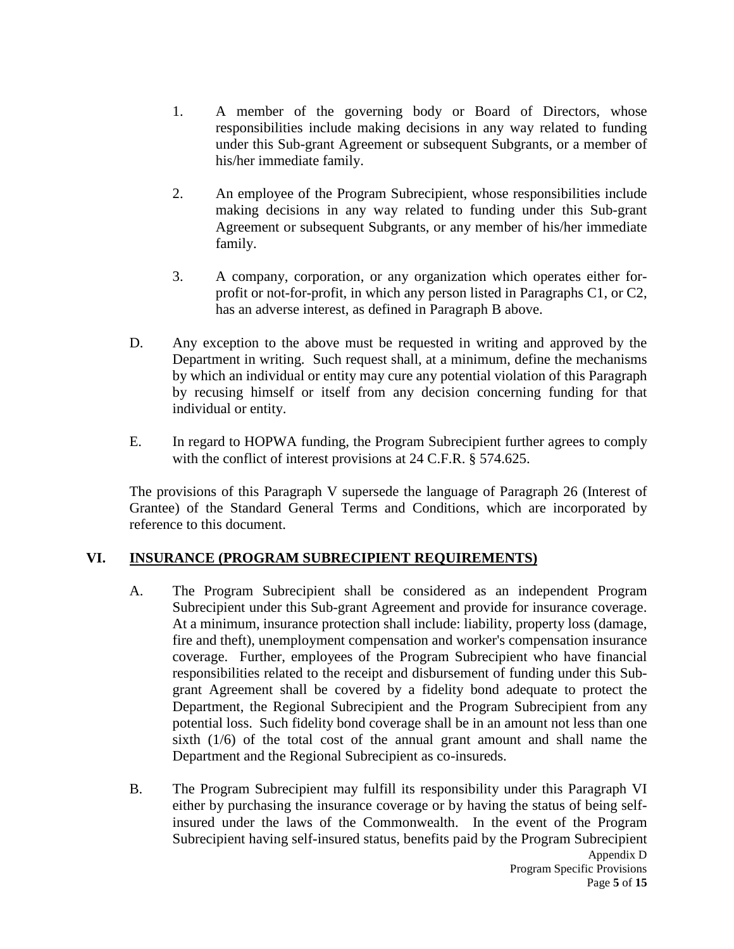- 1. A member of the governing body or Board of Directors, whose responsibilities include making decisions in any way related to funding under this Sub-grant Agreement or subsequent Subgrants, or a member of his/her immediate family.
- 2. An employee of the Program Subrecipient, whose responsibilities include making decisions in any way related to funding under this Sub-grant Agreement or subsequent Subgrants, or any member of his/her immediate family.
- 3. A company, corporation, or any organization which operates either forprofit or not-for-profit, in which any person listed in Paragraphs C1, or C2, has an adverse interest, as defined in Paragraph B above.
- D. Any exception to the above must be requested in writing and approved by the Department in writing. Such request shall, at a minimum, define the mechanisms by which an individual or entity may cure any potential violation of this Paragraph by recusing himself or itself from any decision concerning funding for that individual or entity.
- E. In regard to HOPWA funding, the Program Subrecipient further agrees to comply with the conflict of interest provisions at 24 C.F.R. § 574.625.

The provisions of this Paragraph V supersede the language of Paragraph 26 (Interest of Grantee) of the Standard General Terms and Conditions, which are incorporated by reference to this document.

## **VI. INSURANCE (PROGRAM SUBRECIPIENT REQUIREMENTS)**

- A. The Program Subrecipient shall be considered as an independent Program Subrecipient under this Sub-grant Agreement and provide for insurance coverage. At a minimum, insurance protection shall include: liability, property loss (damage, fire and theft), unemployment compensation and worker's compensation insurance coverage. Further, employees of the Program Subrecipient who have financial responsibilities related to the receipt and disbursement of funding under this Subgrant Agreement shall be covered by a fidelity bond adequate to protect the Department, the Regional Subrecipient and the Program Subrecipient from any potential loss. Such fidelity bond coverage shall be in an amount not less than one sixth (1/6) of the total cost of the annual grant amount and shall name the Department and the Regional Subrecipient as co-insureds.
- B. The Program Subrecipient may fulfill its responsibility under this Paragraph VI either by purchasing the insurance coverage or by having the status of being selfinsured under the laws of the Commonwealth. In the event of the Program Subrecipient having self-insured status, benefits paid by the Program Subrecipient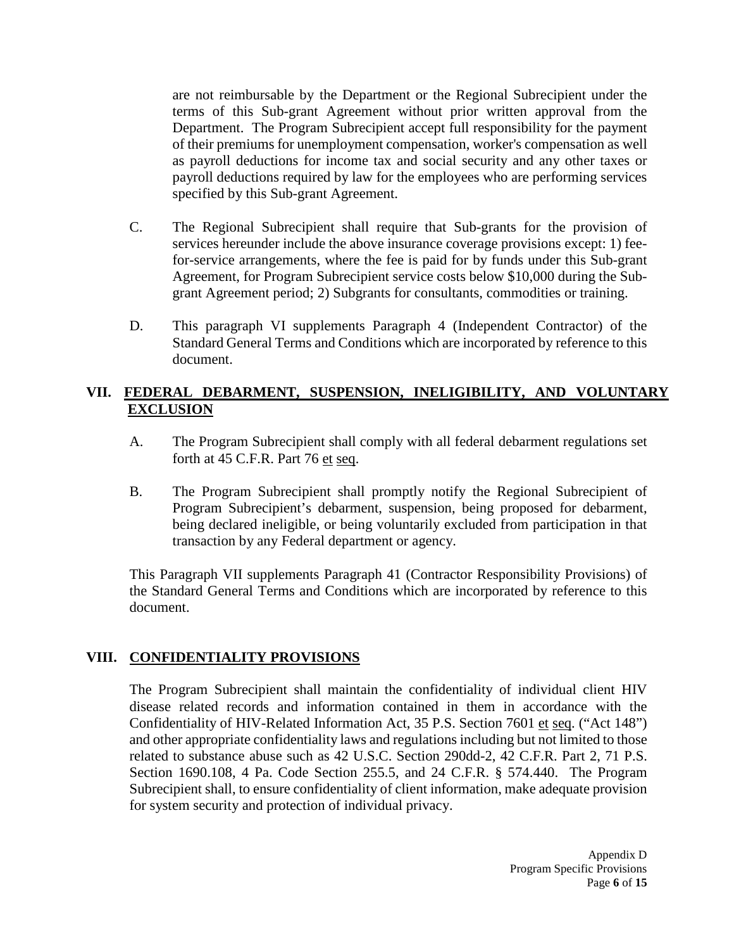are not reimbursable by the Department or the Regional Subrecipient under the terms of this Sub-grant Agreement without prior written approval from the Department. The Program Subrecipient accept full responsibility for the payment of their premiums for unemployment compensation, worker's compensation as well as payroll deductions for income tax and social security and any other taxes or payroll deductions required by law for the employees who are performing services specified by this Sub-grant Agreement.

- C. The Regional Subrecipient shall require that Sub-grants for the provision of services hereunder include the above insurance coverage provisions except: 1) feefor-service arrangements, where the fee is paid for by funds under this Sub-grant Agreement, for Program Subrecipient service costs below \$10,000 during the Subgrant Agreement period; 2) Subgrants for consultants, commodities or training.
- D. This paragraph VI supplements Paragraph 4 (Independent Contractor) of the Standard General Terms and Conditions which are incorporated by reference to this document.

## **VII. FEDERAL DEBARMENT, SUSPENSION, INELIGIBILITY, AND VOLUNTARY EXCLUSION**

- A. The Program Subrecipient shall comply with all federal debarment regulations set forth at 45 C.F.R. Part 76 et seq.
- B. The Program Subrecipient shall promptly notify the Regional Subrecipient of Program Subrecipient's debarment, suspension, being proposed for debarment, being declared ineligible, or being voluntarily excluded from participation in that transaction by any Federal department or agency.

This Paragraph VII supplements Paragraph 41 (Contractor Responsibility Provisions) of the Standard General Terms and Conditions which are incorporated by reference to this document.

## **VIII. CONFIDENTIALITY PROVISIONS**

The Program Subrecipient shall maintain the confidentiality of individual client HIV disease related records and information contained in them in accordance with the Confidentiality of HIV-Related Information Act, 35 P.S. Section 7601 et seq. ("Act 148") and other appropriate confidentiality laws and regulations including but not limited to those related to substance abuse such as 42 U.S.C. Section 290dd-2, 42 C.F.R. Part 2, 71 P.S. Section 1690.108, 4 Pa. Code Section 255.5, and 24 C.F.R. § 574.440. The Program Subrecipient shall, to ensure confidentiality of client information, make adequate provision for system security and protection of individual privacy.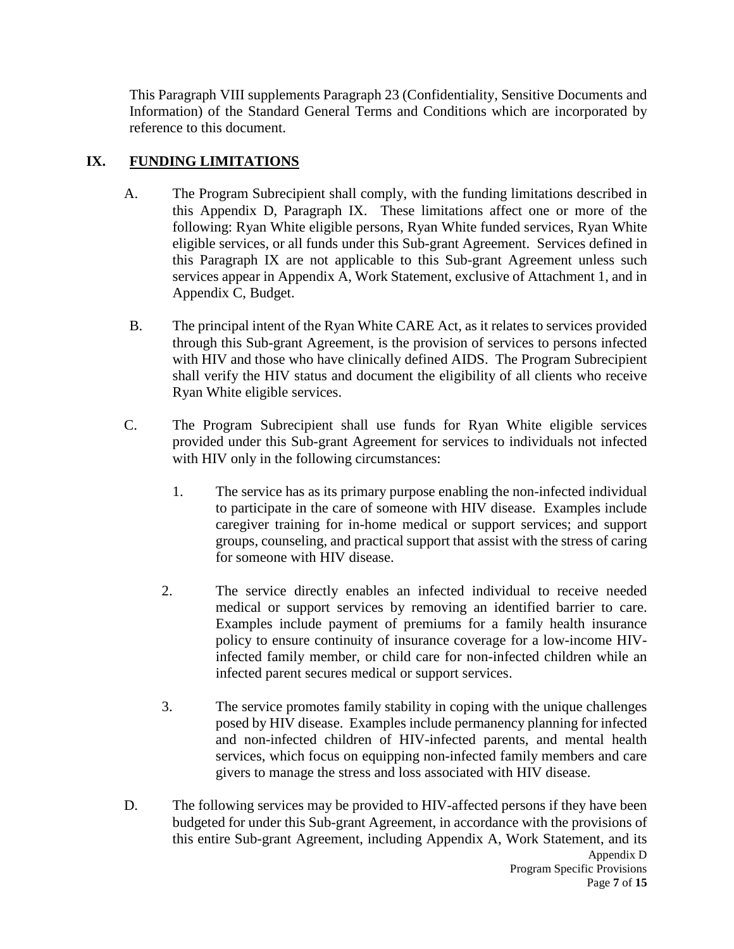This Paragraph VIII supplements Paragraph 23 (Confidentiality, Sensitive Documents and Information) of the Standard General Terms and Conditions which are incorporated by reference to this document.

# **IX. FUNDING LIMITATIONS**

- A. The Program Subrecipient shall comply, with the funding limitations described in this Appendix D, Paragraph IX. These limitations affect one or more of the following: Ryan White eligible persons, Ryan White funded services, Ryan White eligible services, or all funds under this Sub-grant Agreement. Services defined in this Paragraph IX are not applicable to this Sub-grant Agreement unless such services appear in Appendix A, Work Statement, exclusive of Attachment 1, and in Appendix C, Budget.
- B. The principal intent of the Ryan White CARE Act, as it relates to services provided through this Sub-grant Agreement, is the provision of services to persons infected with HIV and those who have clinically defined AIDS. The Program Subrecipient shall verify the HIV status and document the eligibility of all clients who receive Ryan White eligible services.
- C. The Program Subrecipient shall use funds for Ryan White eligible services provided under this Sub-grant Agreement for services to individuals not infected with HIV only in the following circumstances:
	- 1. The service has as its primary purpose enabling the non-infected individual to participate in the care of someone with HIV disease. Examples include caregiver training for in-home medical or support services; and support groups, counseling, and practical support that assist with the stress of caring for someone with HIV disease.
	- 2. The service directly enables an infected individual to receive needed medical or support services by removing an identified barrier to care. Examples include payment of premiums for a family health insurance policy to ensure continuity of insurance coverage for a low-income HIVinfected family member, or child care for non-infected children while an infected parent secures medical or support services.
	- 3. The service promotes family stability in coping with the unique challenges posed by HIV disease. Examples include permanency planning for infected and non-infected children of HIV-infected parents, and mental health services, which focus on equipping non-infected family members and care givers to manage the stress and loss associated with HIV disease.
- D. The following services may be provided to HIV-affected persons if they have been budgeted for under this Sub-grant Agreement, in accordance with the provisions of this entire Sub-grant Agreement, including Appendix A, Work Statement, and its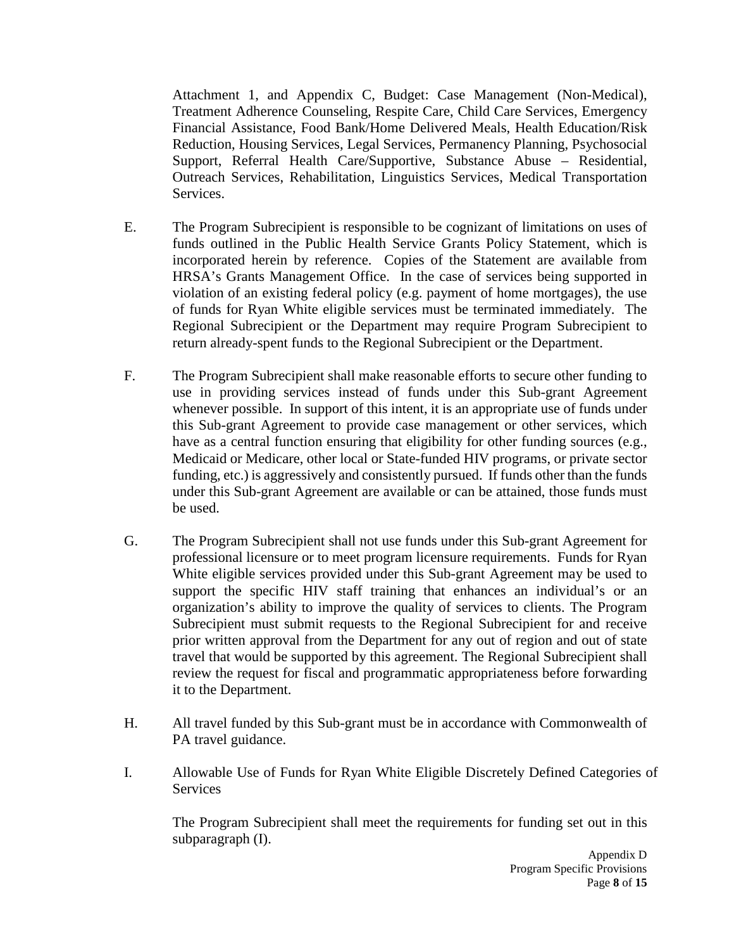Attachment 1, and Appendix C, Budget: Case Management (Non-Medical), Treatment Adherence Counseling, Respite Care, Child Care Services, Emergency Financial Assistance, Food Bank/Home Delivered Meals, Health Education/Risk Reduction, Housing Services, Legal Services, Permanency Planning, Psychosocial Support, Referral Health Care/Supportive, Substance Abuse – Residential, Outreach Services, Rehabilitation, Linguistics Services, Medical Transportation Services.

- E. The Program Subrecipient is responsible to be cognizant of limitations on uses of funds outlined in the Public Health Service Grants Policy Statement, which is incorporated herein by reference. Copies of the Statement are available from HRSA's Grants Management Office. In the case of services being supported in violation of an existing federal policy (e.g. payment of home mortgages), the use of funds for Ryan White eligible services must be terminated immediately. The Regional Subrecipient or the Department may require Program Subrecipient to return already-spent funds to the Regional Subrecipient or the Department.
- F. The Program Subrecipient shall make reasonable efforts to secure other funding to use in providing services instead of funds under this Sub-grant Agreement whenever possible. In support of this intent, it is an appropriate use of funds under this Sub-grant Agreement to provide case management or other services, which have as a central function ensuring that eligibility for other funding sources (e.g., Medicaid or Medicare, other local or State-funded HIV programs, or private sector funding, etc.) is aggressively and consistently pursued. If funds other than the funds under this Sub-grant Agreement are available or can be attained, those funds must be used.
- G. The Program Subrecipient shall not use funds under this Sub-grant Agreement for professional licensure or to meet program licensure requirements. Funds for Ryan White eligible services provided under this Sub-grant Agreement may be used to support the specific HIV staff training that enhances an individual's or an organization's ability to improve the quality of services to clients. The Program Subrecipient must submit requests to the Regional Subrecipient for and receive prior written approval from the Department for any out of region and out of state travel that would be supported by this agreement. The Regional Subrecipient shall review the request for fiscal and programmatic appropriateness before forwarding it to the Department.
- H. All travel funded by this Sub-grant must be in accordance with Commonwealth of PA travel guidance.
- I. Allowable Use of Funds for Ryan White Eligible Discretely Defined Categories of Services

The Program Subrecipient shall meet the requirements for funding set out in this subparagraph (I).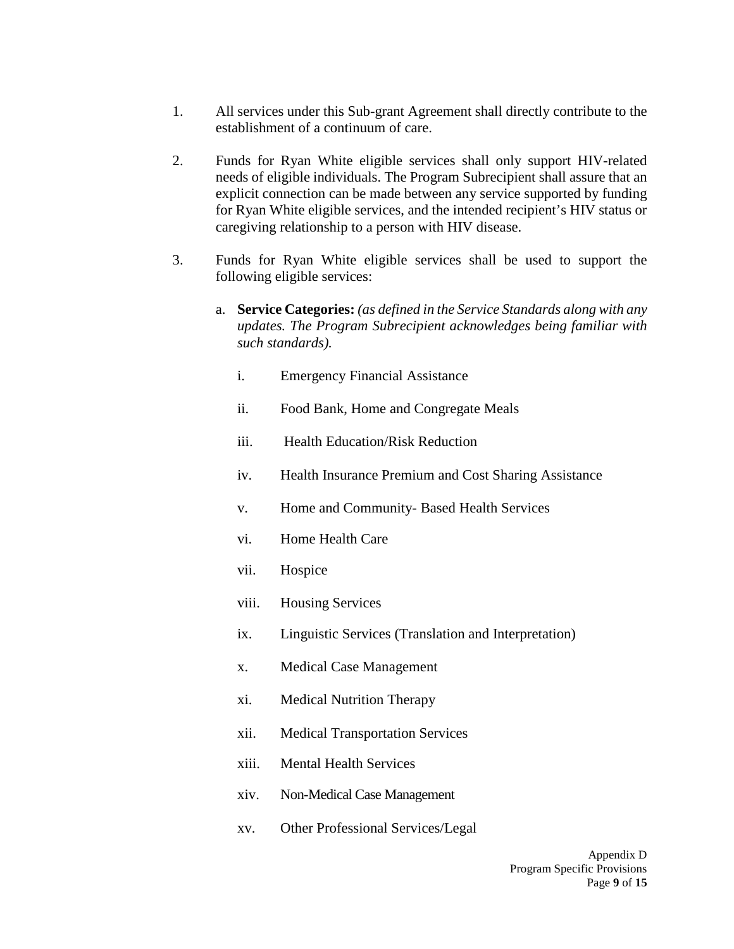- 1. All services under this Sub-grant Agreement shall directly contribute to the establishment of a continuum of care.
- 2. Funds for Ryan White eligible services shall only support HIV-related needs of eligible individuals. The Program Subrecipient shall assure that an explicit connection can be made between any service supported by funding for Ryan White eligible services, and the intended recipient's HIV status or caregiving relationship to a person with HIV disease.
- 3. Funds for Ryan White eligible services shall be used to support the following eligible services:
	- a. **Service Categories:** *(as defined in the Service Standards along with any updates. The Program Subrecipient acknowledges being familiar with such standards).* 
		- i. Emergency Financial Assistance
		- ii. Food Bank, Home and Congregate Meals
		- iii. Health Education/Risk Reduction
		- iv. Health Insurance Premium and Cost Sharing Assistance
		- v. Home and Community- Based Health Services
		- vi. Home Health Care
		- vii. Hospice
		- viii. Housing Services
		- ix. Linguistic Services (Translation and Interpretation)
		- x. Medical Case Management
		- xi. Medical Nutrition Therapy
		- xii. Medical Transportation Services
		- xiii. Mental Health Services
		- xiv. Non-Medical Case Management
		- xv. Other Professional Services/Legal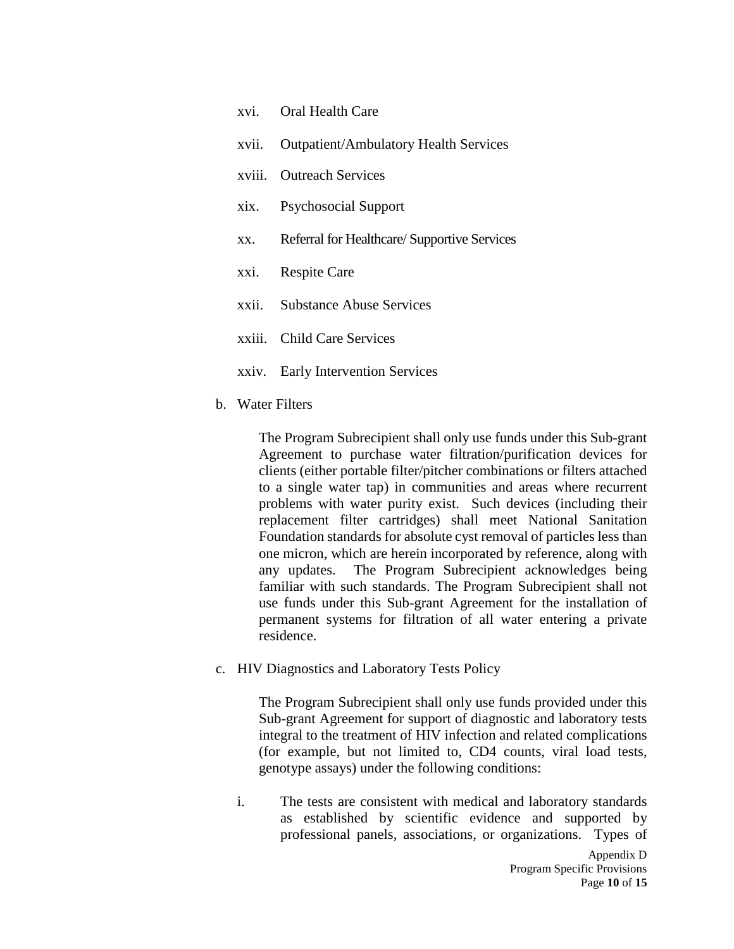| xvi. Oral Health Care                           |
|-------------------------------------------------|
| xvii. Outpatient/Ambulatory Health Services     |
| xviii. Outreach Services                        |
| xix. Psychosocial Support                       |
| xx. Referral for Healthcare/Supportive Services |
| xxi. Respite Care                               |
| xxii. Substance Abuse Services                  |
| xxiii. Child Care Services                      |
| xxiv. Early Intervention Services               |
|                                                 |

b. Water Filters

The Program Subrecipient shall only use funds under this Sub-grant Agreement to purchase water filtration/purification devices for clients (either portable filter/pitcher combinations or filters attached to a single water tap) in communities and areas where recurrent problems with water purity exist. Such devices (including their replacement filter cartridges) shall meet National Sanitation Foundation standards for absolute cyst removal of particles less than one micron, which are herein incorporated by reference, along with any updates. The Program Subrecipient acknowledges being familiar with such standards. The Program Subrecipient shall not use funds under this Sub-grant Agreement for the installation of permanent systems for filtration of all water entering a private residence.

c. HIV Diagnostics and Laboratory Tests Policy

The Program Subrecipient shall only use funds provided under this Sub-grant Agreement for support of diagnostic and laboratory tests integral to the treatment of HIV infection and related complications (for example, but not limited to, CD4 counts, viral load tests, genotype assays) under the following conditions:

i. The tests are consistent with medical and laboratory standards as established by scientific evidence and supported by professional panels, associations, or organizations. Types of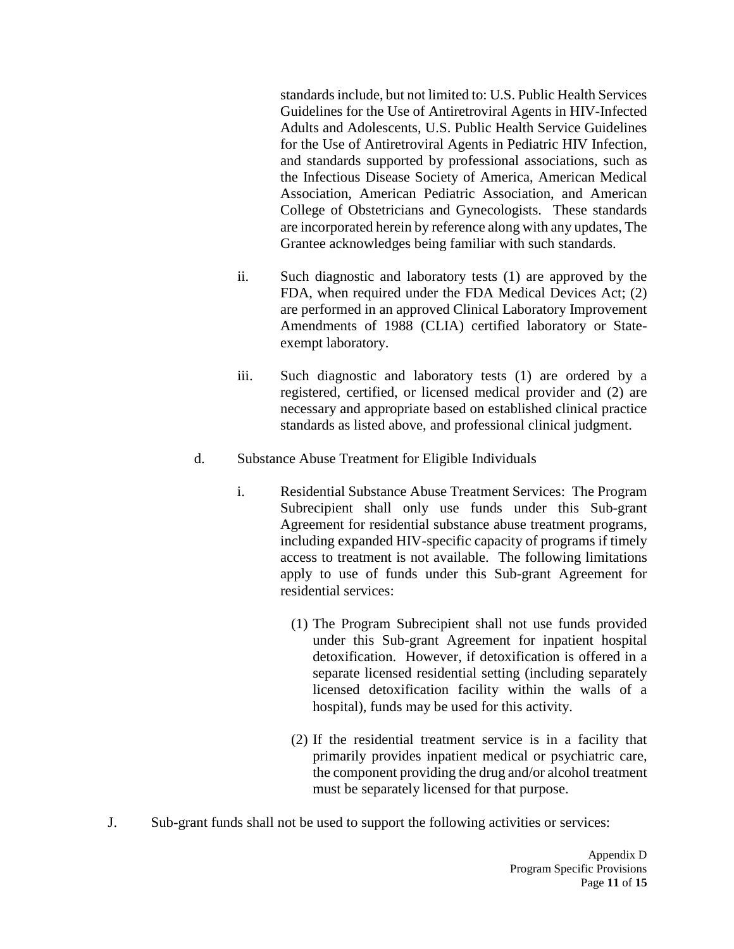standards include, but not limited to: U.S. Public Health Services Guidelines for the Use of Antiretroviral Agents in HIV-Infected Adults and Adolescents, U.S. Public Health Service Guidelines for the Use of Antiretroviral Agents in Pediatric HIV Infection, and standards supported by professional associations, such as the Infectious Disease Society of America, American Medical Association, American Pediatric Association, and American College of Obstetricians and Gynecologists. These standards are incorporated herein by reference along with any updates, The Grantee acknowledges being familiar with such standards.

- ii. Such diagnostic and laboratory tests (1) are approved by the FDA, when required under the FDA Medical Devices Act; (2) are performed in an approved Clinical Laboratory Improvement Amendments of 1988 (CLIA) certified laboratory or Stateexempt laboratory.
- iii. Such diagnostic and laboratory tests (1) are ordered by a registered, certified, or licensed medical provider and (2) are necessary and appropriate based on established clinical practice standards as listed above, and professional clinical judgment.
- d. Substance Abuse Treatment for Eligible Individuals
	- i. Residential Substance Abuse Treatment Services: The Program Subrecipient shall only use funds under this Sub-grant Agreement for residential substance abuse treatment programs, including expanded HIV-specific capacity of programs if timely access to treatment is not available. The following limitations apply to use of funds under this Sub-grant Agreement for residential services:
		- (1) The Program Subrecipient shall not use funds provided under this Sub-grant Agreement for inpatient hospital detoxification. However, if detoxification is offered in a separate licensed residential setting (including separately licensed detoxification facility within the walls of a hospital), funds may be used for this activity.
		- (2) If the residential treatment service is in a facility that primarily provides inpatient medical or psychiatric care, the component providing the drug and/or alcohol treatment must be separately licensed for that purpose.
- J. Sub-grant funds shall not be used to support the following activities or services: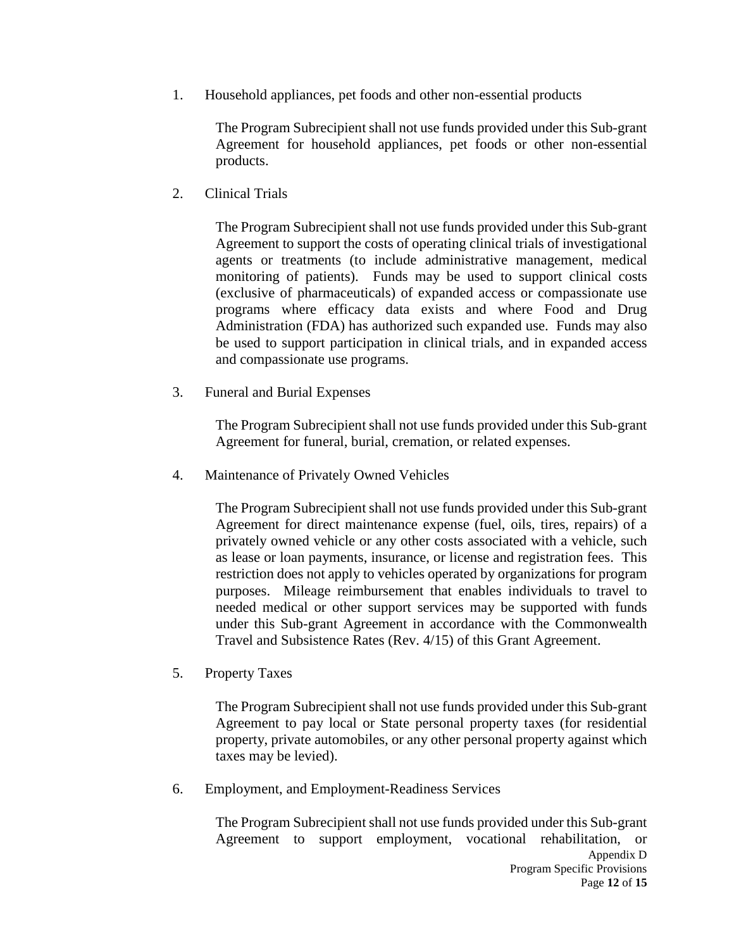1. Household appliances, pet foods and other non-essential products

The Program Subrecipient shall not use funds provided under this Sub-grant Agreement for household appliances, pet foods or other non-essential products.

2. Clinical Trials

The Program Subrecipient shall not use funds provided under this Sub-grant Agreement to support the costs of operating clinical trials of investigational agents or treatments (to include administrative management, medical monitoring of patients). Funds may be used to support clinical costs (exclusive of pharmaceuticals) of expanded access or compassionate use programs where efficacy data exists and where Food and Drug Administration (FDA) has authorized such expanded use. Funds may also be used to support participation in clinical trials, and in expanded access and compassionate use programs.

3. Funeral and Burial Expenses

The Program Subrecipient shall not use funds provided under this Sub-grant Agreement for funeral, burial, cremation, or related expenses.

4. Maintenance of Privately Owned Vehicles

The Program Subrecipient shall not use funds provided under this Sub-grant Agreement for direct maintenance expense (fuel, oils, tires, repairs) of a privately owned vehicle or any other costs associated with a vehicle, such as lease or loan payments, insurance, or license and registration fees. This restriction does not apply to vehicles operated by organizations for program purposes. Mileage reimbursement that enables individuals to travel to needed medical or other support services may be supported with funds under this Sub-grant Agreement in accordance with the Commonwealth Travel and Subsistence Rates (Rev. 4/15) of this Grant Agreement.

5. Property Taxes

The Program Subrecipient shall not use funds provided under this Sub-grant Agreement to pay local or State personal property taxes (for residential property, private automobiles, or any other personal property against which taxes may be levied).

6. Employment, and Employment-Readiness Services

Appendix D Program Specific Provisions The Program Subrecipient shall not use funds provided under this Sub-grant Agreement to support employment, vocational rehabilitation, or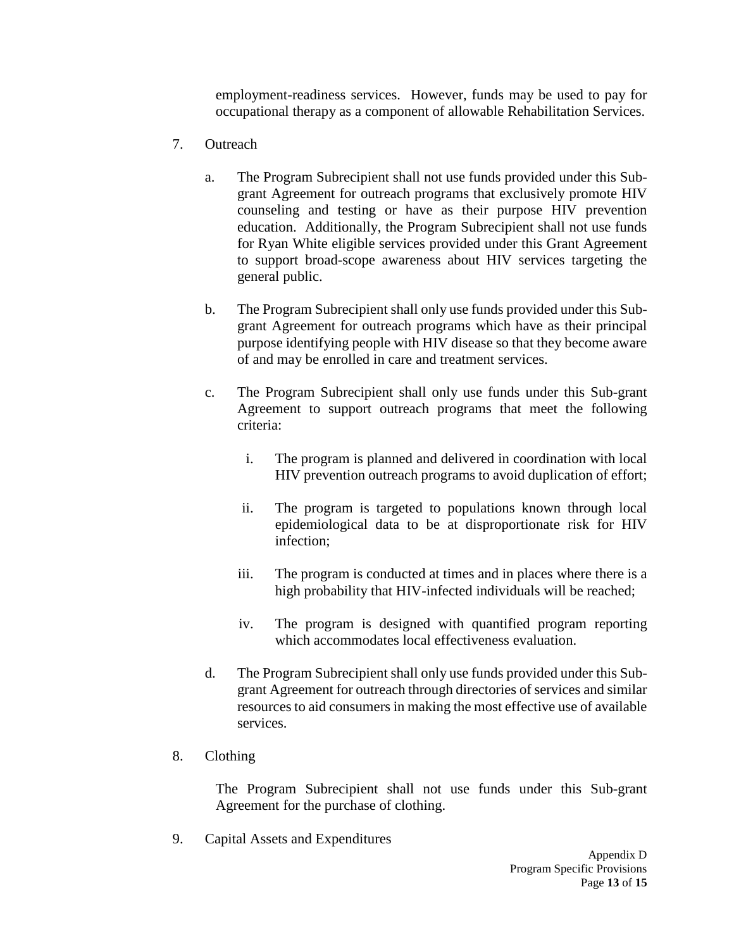employment-readiness services. However, funds may be used to pay for occupational therapy as a component of allowable Rehabilitation Services.

- 7. Outreach
	- a. The Program Subrecipient shall not use funds provided under this Subgrant Agreement for outreach programs that exclusively promote HIV counseling and testing or have as their purpose HIV prevention education. Additionally, the Program Subrecipient shall not use funds for Ryan White eligible services provided under this Grant Agreement to support broad-scope awareness about HIV services targeting the general public.
	- b. The Program Subrecipient shall only use funds provided under this Subgrant Agreement for outreach programs which have as their principal purpose identifying people with HIV disease so that they become aware of and may be enrolled in care and treatment services.
	- c. The Program Subrecipient shall only use funds under this Sub-grant Agreement to support outreach programs that meet the following criteria:
		- i. The program is planned and delivered in coordination with local HIV prevention outreach programs to avoid duplication of effort;
		- ii. The program is targeted to populations known through local epidemiological data to be at disproportionate risk for HIV infection;
		- iii. The program is conducted at times and in places where there is a high probability that HIV-infected individuals will be reached;
		- iv. The program is designed with quantified program reporting which accommodates local effectiveness evaluation.
	- d. The Program Subrecipient shall only use funds provided under this Subgrant Agreement for outreach through directories of services and similar resources to aid consumers in making the most effective use of available services.
- 8. Clothing

The Program Subrecipient shall not use funds under this Sub-grant Agreement for the purchase of clothing.

9. Capital Assets and Expenditures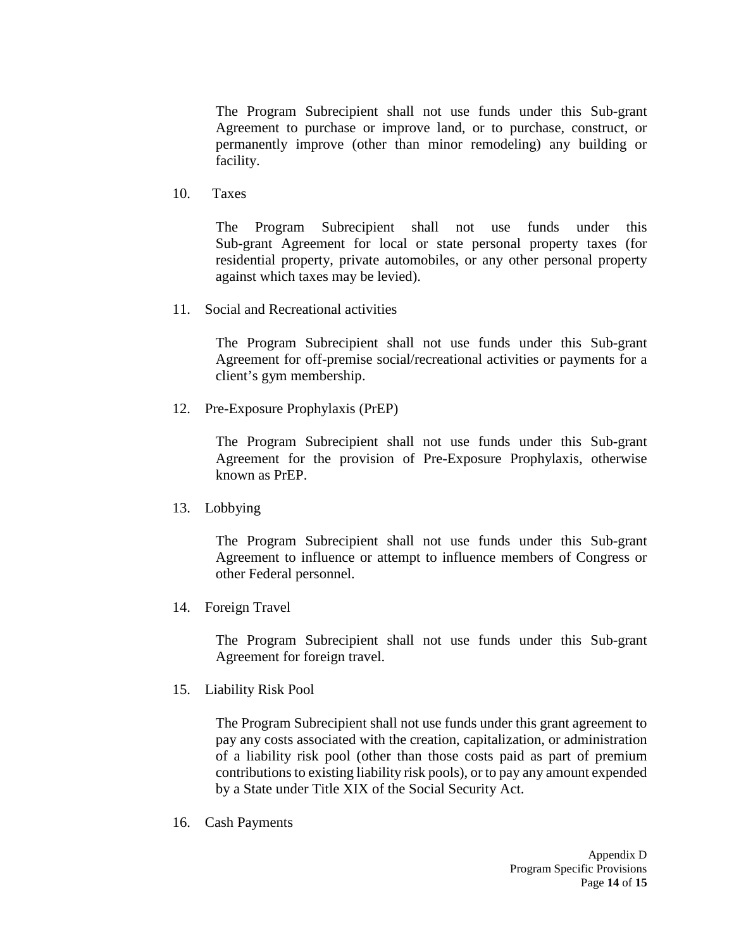The Program Subrecipient shall not use funds under this Sub-grant Agreement to purchase or improve land, or to purchase, construct, or permanently improve (other than minor remodeling) any building or facility.

10. Taxes

The Program Subrecipient shall not use funds under this Sub-grant Agreement for local or state personal property taxes (for residential property, private automobiles, or any other personal property against which taxes may be levied).

11. Social and Recreational activities

The Program Subrecipient shall not use funds under this Sub-grant Agreement for off-premise social/recreational activities or payments for a client's gym membership.

12. Pre-Exposure Prophylaxis (PrEP)

The Program Subrecipient shall not use funds under this Sub-grant Agreement for the provision of Pre-Exposure Prophylaxis, otherwise known as PrEP.

13. Lobbying

The Program Subrecipient shall not use funds under this Sub-grant Agreement to influence or attempt to influence members of Congress or other Federal personnel.

14. Foreign Travel

The Program Subrecipient shall not use funds under this Sub-grant Agreement for foreign travel.

15. Liability Risk Pool

The Program Subrecipient shall not use funds under this grant agreement to pay any costs associated with the creation, capitalization, or administration of a liability risk pool (other than those costs paid as part of premium contributions to existing liability risk pools), or to pay any amount expended by a State under Title XIX of the Social Security Act.

16. Cash Payments